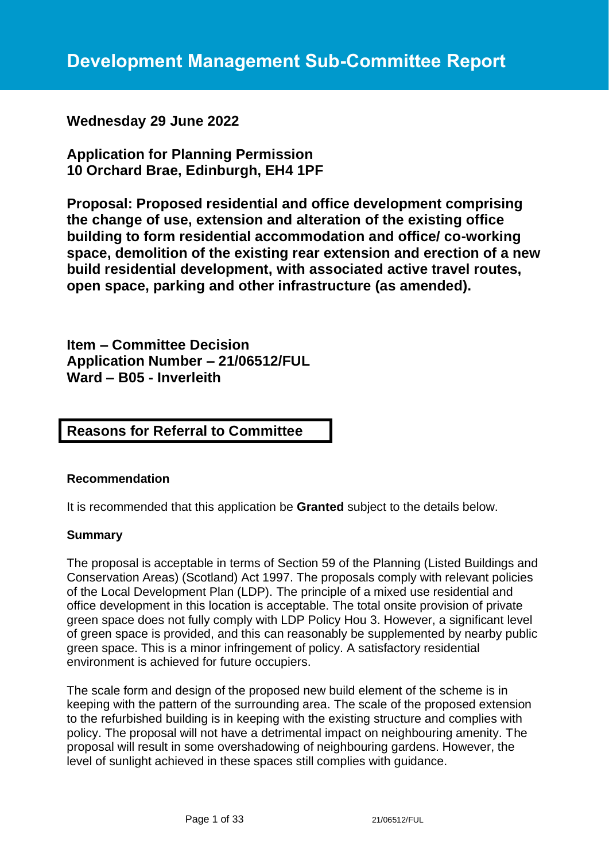# **Wednesday 29 June 2022**

**Application for Planning Permission 10 Orchard Brae, Edinburgh, EH4 1PF**

**Proposal: Proposed residential and office development comprising the change of use, extension and alteration of the existing office building to form residential accommodation and office/ co-working space, demolition of the existing rear extension and erection of a new build residential development, with associated active travel routes, open space, parking and other infrastructure (as amended).**

**Item – Committee Decision Application Number – 21/06512/FUL Ward – B05 - Inverleith**

# **Reasons for Referral to Committee**

#### **Recommendation**

It is recommended that this application be **Granted** subject to the details below.

#### **Summary**

The proposal is acceptable in terms of Section 59 of the Planning (Listed Buildings and Conservation Areas) (Scotland) Act 1997. The proposals comply with relevant policies of the Local Development Plan (LDP). The principle of a mixed use residential and office development in this location is acceptable. The total onsite provision of private green space does not fully comply with LDP Policy Hou 3. However, a significant level of green space is provided, and this can reasonably be supplemented by nearby public green space. This is a minor infringement of policy. A satisfactory residential environment is achieved for future occupiers.

The scale form and design of the proposed new build element of the scheme is in keeping with the pattern of the surrounding area. The scale of the proposed extension to the refurbished building is in keeping with the existing structure and complies with policy. The proposal will not have a detrimental impact on neighbouring amenity. The proposal will result in some overshadowing of neighbouring gardens. However, the level of sunlight achieved in these spaces still complies with guidance.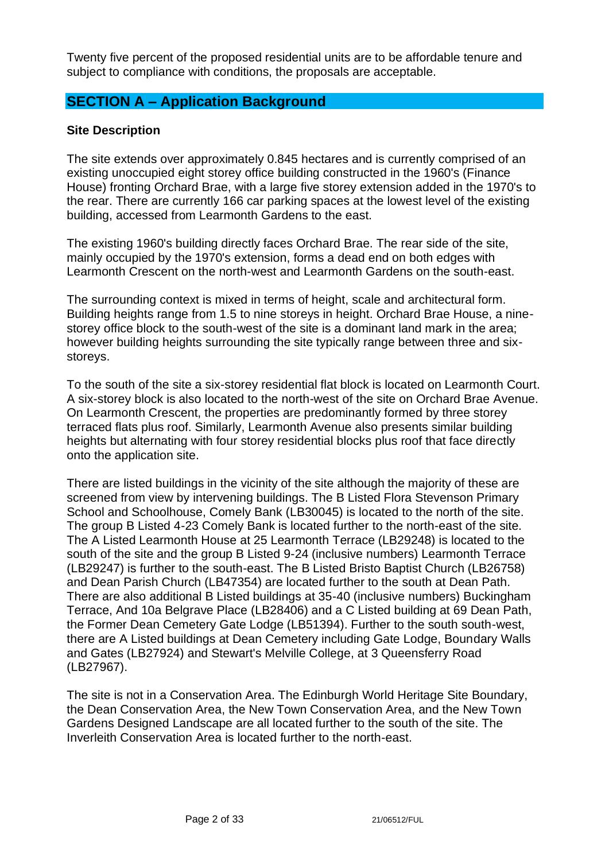Twenty five percent of the proposed residential units are to be affordable tenure and subject to compliance with conditions, the proposals are acceptable.

# **SECTION A – Application Background**

### **Site Description**

The site extends over approximately 0.845 hectares and is currently comprised of an existing unoccupied eight storey office building constructed in the 1960's (Finance House) fronting Orchard Brae, with a large five storey extension added in the 1970's to the rear. There are currently 166 car parking spaces at the lowest level of the existing building, accessed from Learmonth Gardens to the east.

The existing 1960's building directly faces Orchard Brae. The rear side of the site, mainly occupied by the 1970's extension, forms a dead end on both edges with Learmonth Crescent on the north-west and Learmonth Gardens on the south-east.

The surrounding context is mixed in terms of height, scale and architectural form. Building heights range from 1.5 to nine storeys in height. Orchard Brae House, a ninestorey office block to the south-west of the site is a dominant land mark in the area; however building heights surrounding the site typically range between three and sixstoreys.

To the south of the site a six-storey residential flat block is located on Learmonth Court. A six-storey block is also located to the north-west of the site on Orchard Brae Avenue. On Learmonth Crescent, the properties are predominantly formed by three storey terraced flats plus roof. Similarly, Learmonth Avenue also presents similar building heights but alternating with four storey residential blocks plus roof that face directly onto the application site.

There are listed buildings in the vicinity of the site although the majority of these are screened from view by intervening buildings. The B Listed Flora Stevenson Primary School and Schoolhouse, Comely Bank (LB30045) is located to the north of the site. The group B Listed 4-23 Comely Bank is located further to the north-east of the site. The A Listed Learmonth House at 25 Learmonth Terrace (LB29248) is located to the south of the site and the group B Listed 9-24 (inclusive numbers) Learmonth Terrace (LB29247) is further to the south-east. The B Listed Bristo Baptist Church (LB26758) and Dean Parish Church (LB47354) are located further to the south at Dean Path. There are also additional B Listed buildings at 35-40 (inclusive numbers) Buckingham Terrace, And 10a Belgrave Place (LB28406) and a C Listed building at 69 Dean Path, the Former Dean Cemetery Gate Lodge (LB51394). Further to the south south-west, there are A Listed buildings at Dean Cemetery including Gate Lodge, Boundary Walls and Gates (LB27924) and Stewart's Melville College, at 3 Queensferry Road (LB27967).

The site is not in a Conservation Area. The Edinburgh World Heritage Site Boundary, the Dean Conservation Area, the New Town Conservation Area, and the New Town Gardens Designed Landscape are all located further to the south of the site. The Inverleith Conservation Area is located further to the north-east.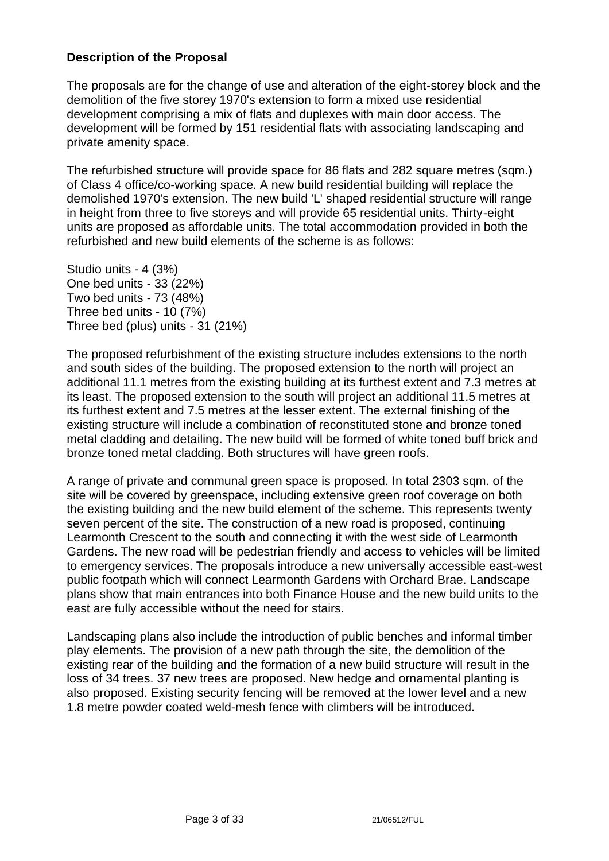### **Description of the Proposal**

The proposals are for the change of use and alteration of the eight-storey block and the demolition of the five storey 1970's extension to form a mixed use residential development comprising a mix of flats and duplexes with main door access. The development will be formed by 151 residential flats with associating landscaping and private amenity space.

The refurbished structure will provide space for 86 flats and 282 square metres (sqm.) of Class 4 office/co-working space. A new build residential building will replace the demolished 1970's extension. The new build 'L' shaped residential structure will range in height from three to five storeys and will provide 65 residential units. Thirty-eight units are proposed as affordable units. The total accommodation provided in both the refurbished and new build elements of the scheme is as follows:

Studio units - 4 (3%) One bed units - 33 (22%) Two bed units - 73 (48%) Three bed units - 10 (7%) Three bed (plus) units - 31 (21%)

The proposed refurbishment of the existing structure includes extensions to the north and south sides of the building. The proposed extension to the north will project an additional 11.1 metres from the existing building at its furthest extent and 7.3 metres at its least. The proposed extension to the south will project an additional 11.5 metres at its furthest extent and 7.5 metres at the lesser extent. The external finishing of the existing structure will include a combination of reconstituted stone and bronze toned metal cladding and detailing. The new build will be formed of white toned buff brick and bronze toned metal cladding. Both structures will have green roofs.

A range of private and communal green space is proposed. In total 2303 sqm. of the site will be covered by greenspace, including extensive green roof coverage on both the existing building and the new build element of the scheme. This represents twenty seven percent of the site. The construction of a new road is proposed, continuing Learmonth Crescent to the south and connecting it with the west side of Learmonth Gardens. The new road will be pedestrian friendly and access to vehicles will be limited to emergency services. The proposals introduce a new universally accessible east-west public footpath which will connect Learmonth Gardens with Orchard Brae. Landscape plans show that main entrances into both Finance House and the new build units to the east are fully accessible without the need for stairs.

Landscaping plans also include the introduction of public benches and informal timber play elements. The provision of a new path through the site, the demolition of the existing rear of the building and the formation of a new build structure will result in the loss of 34 trees. 37 new trees are proposed. New hedge and ornamental planting is also proposed. Existing security fencing will be removed at the lower level and a new 1.8 metre powder coated weld-mesh fence with climbers will be introduced.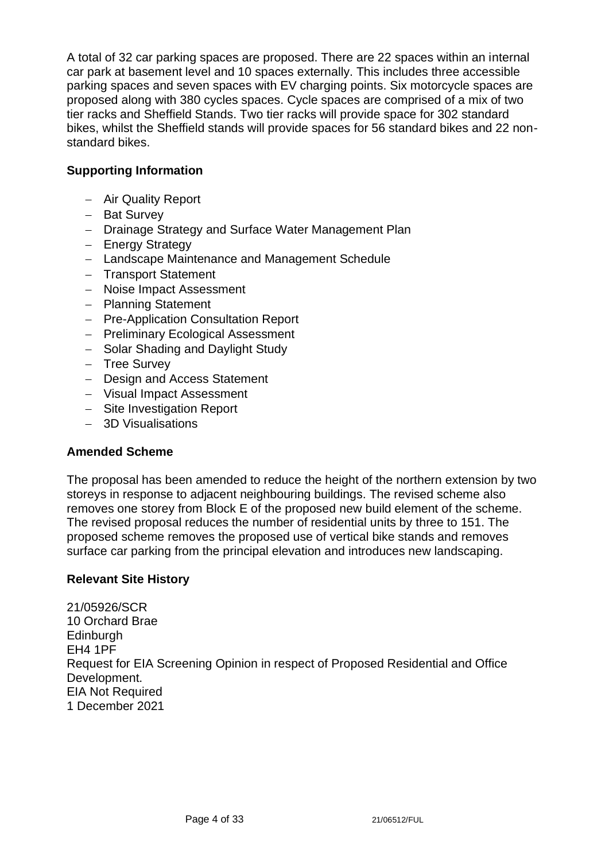A total of 32 car parking spaces are proposed. There are 22 spaces within an internal car park at basement level and 10 spaces externally. This includes three accessible parking spaces and seven spaces with EV charging points. Six motorcycle spaces are proposed along with 380 cycles spaces. Cycle spaces are comprised of a mix of two tier racks and Sheffield Stands. Two tier racks will provide space for 302 standard bikes, whilst the Sheffield stands will provide spaces for 56 standard bikes and 22 nonstandard bikes.

# **Supporting Information**

- − Air Quality Report
- − Bat Survey
- − Drainage Strategy and Surface Water Management Plan
- − Energy Strategy
- − Landscape Maintenance and Management Schedule
- − Transport Statement
- − Noise Impact Assessment
- − Planning Statement
- − Pre-Application Consultation Report
- − Preliminary Ecological Assessment
- − Solar Shading and Daylight Study
- − Tree Survey
- − Design and Access Statement
- − Visual Impact Assessment
- − Site Investigation Report
- − 3D Visualisations

# **Amended Scheme**

The proposal has been amended to reduce the height of the northern extension by two storeys in response to adjacent neighbouring buildings. The revised scheme also removes one storey from Block E of the proposed new build element of the scheme. The revised proposal reduces the number of residential units by three to 151. The proposed scheme removes the proposed use of vertical bike stands and removes surface car parking from the principal elevation and introduces new landscaping.

# **Relevant Site History**

21/05926/SCR 10 Orchard Brae **Edinburgh** EH4 1PF Request for EIA Screening Opinion in respect of Proposed Residential and Office Development. EIA Not Required 1 December 2021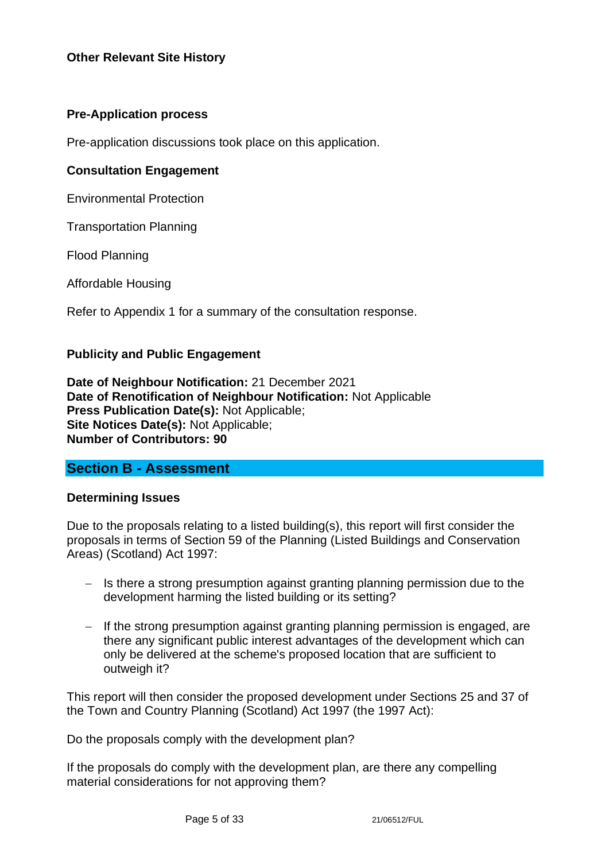### **Pre-Application process**

Pre-application discussions took place on this application.

#### **Consultation Engagement**

Environmental Protection

Transportation Planning

Flood Planning

Affordable Housing

Refer to Appendix 1 for a summary of the consultation response.

#### **Publicity and Public Engagement**

**Date of Neighbour Notification:** 21 December 2021 **Date of Renotification of Neighbour Notification:** Not Applicable **Press Publication Date(s):** Not Applicable; **Site Notices Date(s):** Not Applicable; **Number of Contributors: 90**

### **Section B - Assessment**

#### **Determining Issues**

Due to the proposals relating to a listed building(s), this report will first consider the proposals in terms of Section 59 of the Planning (Listed Buildings and Conservation Areas) (Scotland) Act 1997:

- − Is there a strong presumption against granting planning permission due to the development harming the listed building or its setting?
- − If the strong presumption against granting planning permission is engaged, are there any significant public interest advantages of the development which can only be delivered at the scheme's proposed location that are sufficient to outweigh it?

This report will then consider the proposed development under Sections 25 and 37 of the Town and Country Planning (Scotland) Act 1997 (the 1997 Act):

Do the proposals comply with the development plan?

If the proposals do comply with the development plan, are there any compelling material considerations for not approving them?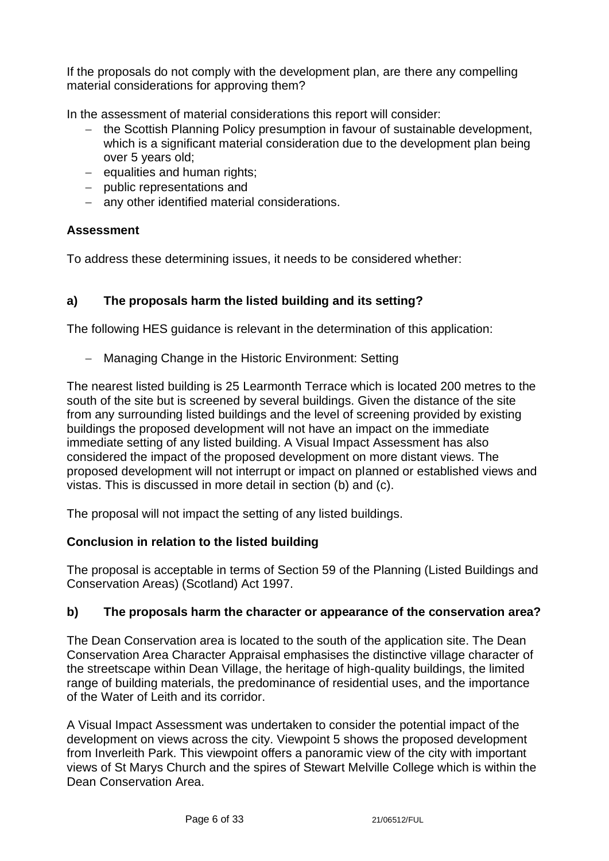If the proposals do not comply with the development plan, are there any compelling material considerations for approving them?

In the assessment of material considerations this report will consider:

- − the Scottish Planning Policy presumption in favour of sustainable development, which is a significant material consideration due to the development plan being over 5 years old;
- − equalities and human rights;
- − public representations and
- − any other identified material considerations.

# **Assessment**

To address these determining issues, it needs to be considered whether:

# **a) The proposals harm the listed building and its setting?**

The following HES guidance is relevant in the determination of this application:

− Managing Change in the Historic Environment: Setting

The nearest listed building is 25 Learmonth Terrace which is located 200 metres to the south of the site but is screened by several buildings. Given the distance of the site from any surrounding listed buildings and the level of screening provided by existing buildings the proposed development will not have an impact on the immediate immediate setting of any listed building. A Visual Impact Assessment has also considered the impact of the proposed development on more distant views. The proposed development will not interrupt or impact on planned or established views and vistas. This is discussed in more detail in section (b) and (c).

The proposal will not impact the setting of any listed buildings.

# **Conclusion in relation to the listed building**

The proposal is acceptable in terms of Section 59 of the Planning (Listed Buildings and Conservation Areas) (Scotland) Act 1997.

# **b) The proposals harm the character or appearance of the conservation area?**

The Dean Conservation area is located to the south of the application site. The Dean Conservation Area Character Appraisal emphasises the distinctive village character of the streetscape within Dean Village, the heritage of high-quality buildings, the limited range of building materials, the predominance of residential uses, and the importance of the Water of Leith and its corridor.

A Visual Impact Assessment was undertaken to consider the potential impact of the development on views across the city. Viewpoint 5 shows the proposed development from Inverleith Park. This viewpoint offers a panoramic view of the city with important views of St Marys Church and the spires of Stewart Melville College which is within the Dean Conservation Area.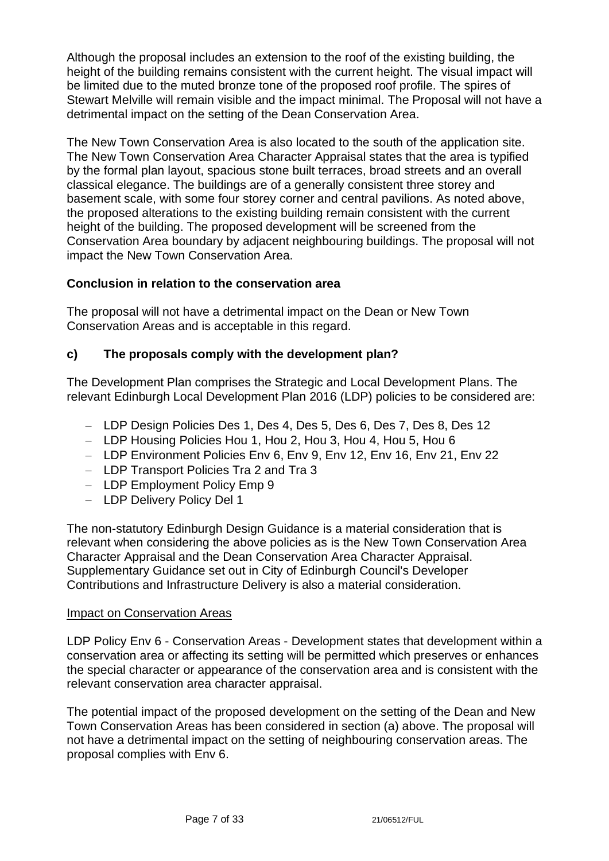Although the proposal includes an extension to the roof of the existing building, the height of the building remains consistent with the current height. The visual impact will be limited due to the muted bronze tone of the proposed roof profile. The spires of Stewart Melville will remain visible and the impact minimal. The Proposal will not have a detrimental impact on the setting of the Dean Conservation Area.

The New Town Conservation Area is also located to the south of the application site. The New Town Conservation Area Character Appraisal states that the area is typified by the formal plan layout, spacious stone built terraces, broad streets and an overall classical elegance. The buildings are of a generally consistent three storey and basement scale, with some four storey corner and central pavilions. As noted above, the proposed alterations to the existing building remain consistent with the current height of the building. The proposed development will be screened from the Conservation Area boundary by adjacent neighbouring buildings. The proposal will not impact the New Town Conservation Area.

# **Conclusion in relation to the conservation area**

The proposal will not have a detrimental impact on the Dean or New Town Conservation Areas and is acceptable in this regard.

### **c) The proposals comply with the development plan?**

The Development Plan comprises the Strategic and Local Development Plans. The relevant Edinburgh Local Development Plan 2016 (LDP) policies to be considered are:

- − LDP Design Policies Des 1, Des 4, Des 5, Des 6, Des 7, Des 8, Des 12
- − LDP Housing Policies Hou 1, Hou 2, Hou 3, Hou 4, Hou 5, Hou 6
- − LDP Environment Policies Env 6, Env 9, Env 12, Env 16, Env 21, Env 22
- − LDP Transport Policies Tra 2 and Tra 3
- − LDP Employment Policy Emp 9
- − LDP Delivery Policy Del 1

The non-statutory Edinburgh Design Guidance is a material consideration that is relevant when considering the above policies as is the New Town Conservation Area Character Appraisal and the Dean Conservation Area Character Appraisal. Supplementary Guidance set out in City of Edinburgh Council's Developer Contributions and Infrastructure Delivery is also a material consideration.

#### Impact on Conservation Areas

LDP Policy Env 6 - Conservation Areas - Development states that development within a conservation area or affecting its setting will be permitted which preserves or enhances the special character or appearance of the conservation area and is consistent with the relevant conservation area character appraisal.

The potential impact of the proposed development on the setting of the Dean and New Town Conservation Areas has been considered in section (a) above. The proposal will not have a detrimental impact on the setting of neighbouring conservation areas. The proposal complies with Env 6.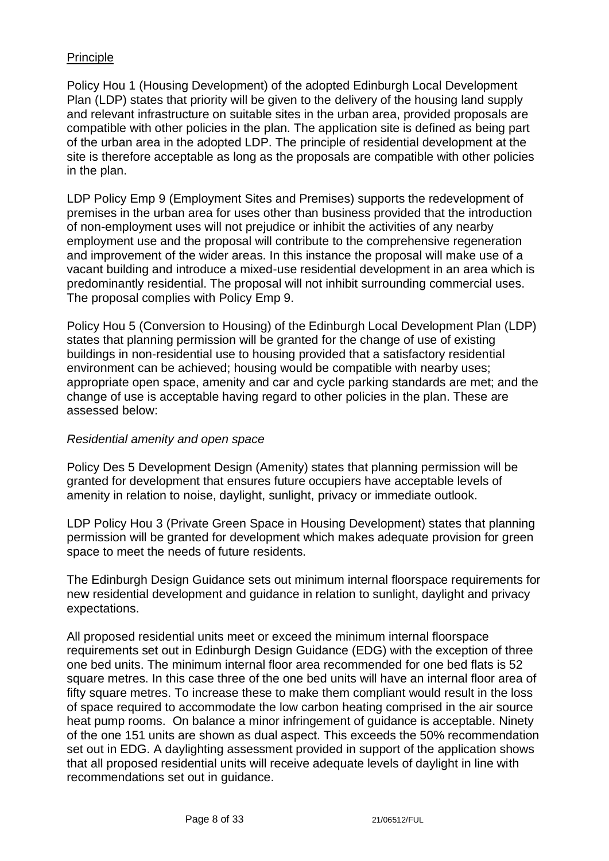### Principle

Policy Hou 1 (Housing Development) of the adopted Edinburgh Local Development Plan (LDP) states that priority will be given to the delivery of the housing land supply and relevant infrastructure on suitable sites in the urban area, provided proposals are compatible with other policies in the plan. The application site is defined as being part of the urban area in the adopted LDP. The principle of residential development at the site is therefore acceptable as long as the proposals are compatible with other policies in the plan.

LDP Policy Emp 9 (Employment Sites and Premises) supports the redevelopment of premises in the urban area for uses other than business provided that the introduction of non-employment uses will not prejudice or inhibit the activities of any nearby employment use and the proposal will contribute to the comprehensive regeneration and improvement of the wider areas. In this instance the proposal will make use of a vacant building and introduce a mixed-use residential development in an area which is predominantly residential. The proposal will not inhibit surrounding commercial uses. The proposal complies with Policy Emp 9.

Policy Hou 5 (Conversion to Housing) of the Edinburgh Local Development Plan (LDP) states that planning permission will be granted for the change of use of existing buildings in non-residential use to housing provided that a satisfactory residential environment can be achieved; housing would be compatible with nearby uses; appropriate open space, amenity and car and cycle parking standards are met; and the change of use is acceptable having regard to other policies in the plan. These are assessed below:

#### *Residential amenity and open space*

Policy Des 5 Development Design (Amenity) states that planning permission will be granted for development that ensures future occupiers have acceptable levels of amenity in relation to noise, daylight, sunlight, privacy or immediate outlook.

LDP Policy Hou 3 (Private Green Space in Housing Development) states that planning permission will be granted for development which makes adequate provision for green space to meet the needs of future residents.

The Edinburgh Design Guidance sets out minimum internal floorspace requirements for new residential development and guidance in relation to sunlight, daylight and privacy expectations.

All proposed residential units meet or exceed the minimum internal floorspace requirements set out in Edinburgh Design Guidance (EDG) with the exception of three one bed units. The minimum internal floor area recommended for one bed flats is 52 square metres. In this case three of the one bed units will have an internal floor area of fifty square metres. To increase these to make them compliant would result in the loss of space required to accommodate the low carbon heating comprised in the air source heat pump rooms. On balance a minor infringement of guidance is acceptable. Ninety of the one 151 units are shown as dual aspect. This exceeds the 50% recommendation set out in EDG. A daylighting assessment provided in support of the application shows that all proposed residential units will receive adequate levels of daylight in line with recommendations set out in guidance.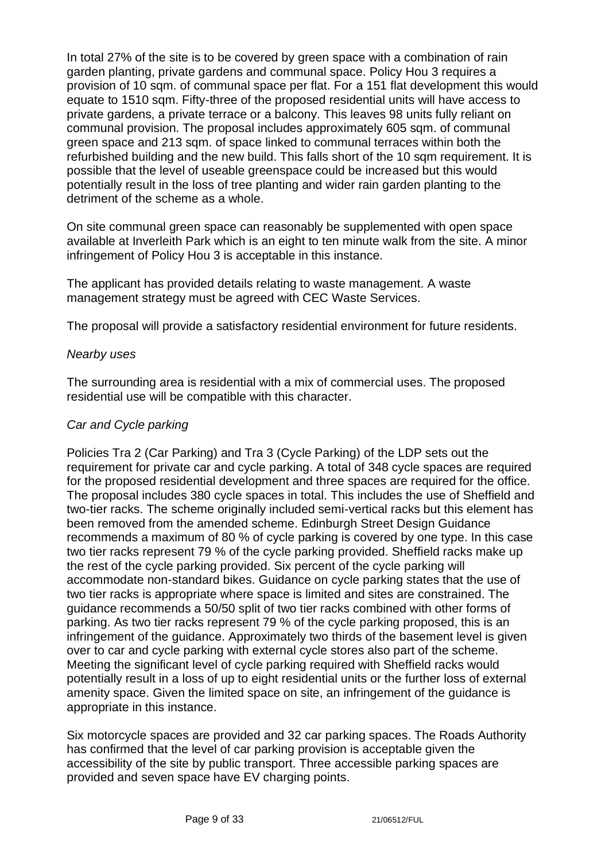In total 27% of the site is to be covered by green space with a combination of rain garden planting, private gardens and communal space. Policy Hou 3 requires a provision of 10 sqm. of communal space per flat. For a 151 flat development this would equate to 1510 sqm. Fifty-three of the proposed residential units will have access to private gardens, a private terrace or a balcony. This leaves 98 units fully reliant on communal provision. The proposal includes approximately 605 sqm. of communal green space and 213 sqm. of space linked to communal terraces within both the refurbished building and the new build. This falls short of the 10 sqm requirement. It is possible that the level of useable greenspace could be increased but this would potentially result in the loss of tree planting and wider rain garden planting to the detriment of the scheme as a whole.

On site communal green space can reasonably be supplemented with open space available at Inverleith Park which is an eight to ten minute walk from the site. A minor infringement of Policy Hou 3 is acceptable in this instance.

The applicant has provided details relating to waste management. A waste management strategy must be agreed with CEC Waste Services.

The proposal will provide a satisfactory residential environment for future residents.

#### *Nearby uses*

The surrounding area is residential with a mix of commercial uses. The proposed residential use will be compatible with this character.

#### *Car and Cycle parking*

Policies Tra 2 (Car Parking) and Tra 3 (Cycle Parking) of the LDP sets out the requirement for private car and cycle parking. A total of 348 cycle spaces are required for the proposed residential development and three spaces are required for the office. The proposal includes 380 cycle spaces in total. This includes the use of Sheffield and two-tier racks. The scheme originally included semi-vertical racks but this element has been removed from the amended scheme. Edinburgh Street Design Guidance recommends a maximum of 80 % of cycle parking is covered by one type. In this case two tier racks represent 79 % of the cycle parking provided. Sheffield racks make up the rest of the cycle parking provided. Six percent of the cycle parking will accommodate non-standard bikes. Guidance on cycle parking states that the use of two tier racks is appropriate where space is limited and sites are constrained. The guidance recommends a 50/50 split of two tier racks combined with other forms of parking. As two tier racks represent 79 % of the cycle parking proposed, this is an infringement of the guidance. Approximately two thirds of the basement level is given over to car and cycle parking with external cycle stores also part of the scheme. Meeting the significant level of cycle parking required with Sheffield racks would potentially result in a loss of up to eight residential units or the further loss of external amenity space. Given the limited space on site, an infringement of the guidance is appropriate in this instance.

Six motorcycle spaces are provided and 32 car parking spaces. The Roads Authority has confirmed that the level of car parking provision is acceptable given the accessibility of the site by public transport. Three accessible parking spaces are provided and seven space have EV charging points.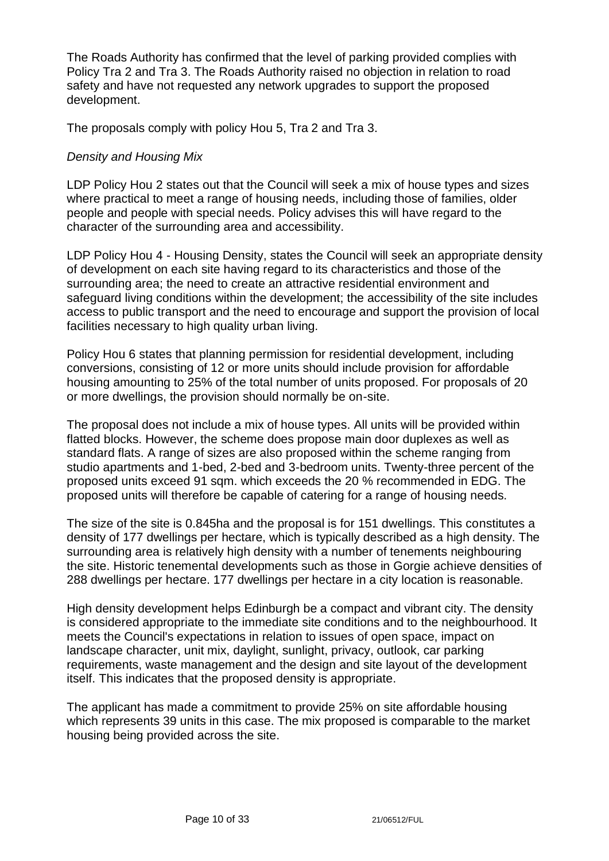The Roads Authority has confirmed that the level of parking provided complies with Policy Tra 2 and Tra 3. The Roads Authority raised no objection in relation to road safety and have not requested any network upgrades to support the proposed development.

The proposals comply with policy Hou 5, Tra 2 and Tra 3.

#### *Density and Housing Mix*

LDP Policy Hou 2 states out that the Council will seek a mix of house types and sizes where practical to meet a range of housing needs, including those of families, older people and people with special needs. Policy advises this will have regard to the character of the surrounding area and accessibility.

LDP Policy Hou 4 - Housing Density, states the Council will seek an appropriate density of development on each site having regard to its characteristics and those of the surrounding area; the need to create an attractive residential environment and safeguard living conditions within the development; the accessibility of the site includes access to public transport and the need to encourage and support the provision of local facilities necessary to high quality urban living.

Policy Hou 6 states that planning permission for residential development, including conversions, consisting of 12 or more units should include provision for affordable housing amounting to 25% of the total number of units proposed. For proposals of 20 or more dwellings, the provision should normally be on-site.

The proposal does not include a mix of house types. All units will be provided within flatted blocks. However, the scheme does propose main door duplexes as well as standard flats. A range of sizes are also proposed within the scheme ranging from studio apartments and 1-bed, 2-bed and 3-bedroom units. Twenty-three percent of the proposed units exceed 91 sqm. which exceeds the 20 % recommended in EDG. The proposed units will therefore be capable of catering for a range of housing needs.

The size of the site is 0.845ha and the proposal is for 151 dwellings. This constitutes a density of 177 dwellings per hectare, which is typically described as a high density. The surrounding area is relatively high density with a number of tenements neighbouring the site. Historic tenemental developments such as those in Gorgie achieve densities of 288 dwellings per hectare. 177 dwellings per hectare in a city location is reasonable.

High density development helps Edinburgh be a compact and vibrant city. The density is considered appropriate to the immediate site conditions and to the neighbourhood. It meets the Council's expectations in relation to issues of open space, impact on landscape character, unit mix, daylight, sunlight, privacy, outlook, car parking requirements, waste management and the design and site layout of the development itself. This indicates that the proposed density is appropriate.

The applicant has made a commitment to provide 25% on site affordable housing which represents 39 units in this case. The mix proposed is comparable to the market housing being provided across the site.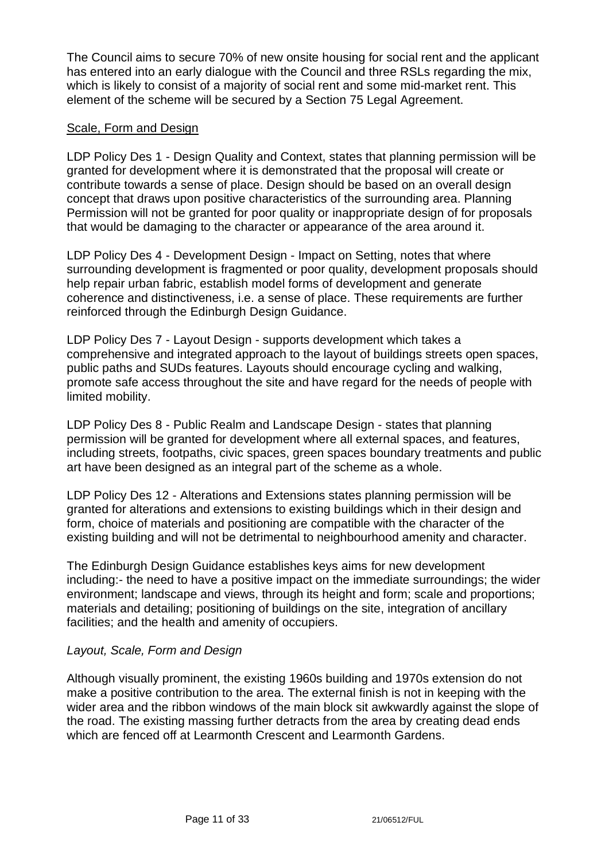The Council aims to secure 70% of new onsite housing for social rent and the applicant has entered into an early dialogue with the Council and three RSLs regarding the mix, which is likely to consist of a majority of social rent and some mid-market rent. This element of the scheme will be secured by a Section 75 Legal Agreement.

#### Scale, Form and Design

LDP Policy Des 1 - Design Quality and Context, states that planning permission will be granted for development where it is demonstrated that the proposal will create or contribute towards a sense of place. Design should be based on an overall design concept that draws upon positive characteristics of the surrounding area. Planning Permission will not be granted for poor quality or inappropriate design of for proposals that would be damaging to the character or appearance of the area around it.

LDP Policy Des 4 - Development Design - Impact on Setting, notes that where surrounding development is fragmented or poor quality, development proposals should help repair urban fabric, establish model forms of development and generate coherence and distinctiveness, i.e. a sense of place. These requirements are further reinforced through the Edinburgh Design Guidance.

LDP Policy Des 7 - Layout Design - supports development which takes a comprehensive and integrated approach to the layout of buildings streets open spaces, public paths and SUDs features. Layouts should encourage cycling and walking, promote safe access throughout the site and have regard for the needs of people with limited mobility.

LDP Policy Des 8 - Public Realm and Landscape Design - states that planning permission will be granted for development where all external spaces, and features, including streets, footpaths, civic spaces, green spaces boundary treatments and public art have been designed as an integral part of the scheme as a whole.

LDP Policy Des 12 - Alterations and Extensions states planning permission will be granted for alterations and extensions to existing buildings which in their design and form, choice of materials and positioning are compatible with the character of the existing building and will not be detrimental to neighbourhood amenity and character.

The Edinburgh Design Guidance establishes keys aims for new development including:- the need to have a positive impact on the immediate surroundings; the wider environment; landscape and views, through its height and form; scale and proportions; materials and detailing; positioning of buildings on the site, integration of ancillary facilities; and the health and amenity of occupiers.

#### *Layout, Scale, Form and Design*

Although visually prominent, the existing 1960s building and 1970s extension do not make a positive contribution to the area. The external finish is not in keeping with the wider area and the ribbon windows of the main block sit awkwardly against the slope of the road. The existing massing further detracts from the area by creating dead ends which are fenced off at Learmonth Crescent and Learmonth Gardens.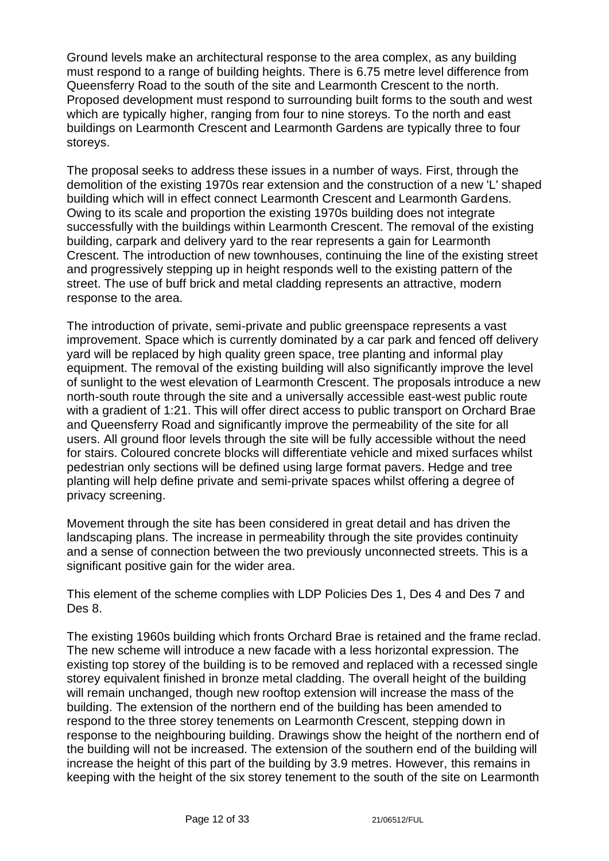Ground levels make an architectural response to the area complex, as any building must respond to a range of building heights. There is 6.75 metre level difference from Queensferry Road to the south of the site and Learmonth Crescent to the north. Proposed development must respond to surrounding built forms to the south and west which are typically higher, ranging from four to nine storeys. To the north and east buildings on Learmonth Crescent and Learmonth Gardens are typically three to four storeys.

The proposal seeks to address these issues in a number of ways. First, through the demolition of the existing 1970s rear extension and the construction of a new 'L' shaped building which will in effect connect Learmonth Crescent and Learmonth Gardens. Owing to its scale and proportion the existing 1970s building does not integrate successfully with the buildings within Learmonth Crescent. The removal of the existing building, carpark and delivery yard to the rear represents a gain for Learmonth Crescent. The introduction of new townhouses, continuing the line of the existing street and progressively stepping up in height responds well to the existing pattern of the street. The use of buff brick and metal cladding represents an attractive, modern response to the area.

The introduction of private, semi-private and public greenspace represents a vast improvement. Space which is currently dominated by a car park and fenced off delivery yard will be replaced by high quality green space, tree planting and informal play equipment. The removal of the existing building will also significantly improve the level of sunlight to the west elevation of Learmonth Crescent. The proposals introduce a new north-south route through the site and a universally accessible east-west public route with a gradient of 1:21. This will offer direct access to public transport on Orchard Brae and Queensferry Road and significantly improve the permeability of the site for all users. All ground floor levels through the site will be fully accessible without the need for stairs. Coloured concrete blocks will differentiate vehicle and mixed surfaces whilst pedestrian only sections will be defined using large format pavers. Hedge and tree planting will help define private and semi-private spaces whilst offering a degree of privacy screening.

Movement through the site has been considered in great detail and has driven the landscaping plans. The increase in permeability through the site provides continuity and a sense of connection between the two previously unconnected streets. This is a significant positive gain for the wider area.

This element of the scheme complies with LDP Policies Des 1, Des 4 and Des 7 and Des 8.

The existing 1960s building which fronts Orchard Brae is retained and the frame reclad. The new scheme will introduce a new facade with a less horizontal expression. The existing top storey of the building is to be removed and replaced with a recessed single storey equivalent finished in bronze metal cladding. The overall height of the building will remain unchanged, though new rooftop extension will increase the mass of the building. The extension of the northern end of the building has been amended to respond to the three storey tenements on Learmonth Crescent, stepping down in response to the neighbouring building. Drawings show the height of the northern end of the building will not be increased. The extension of the southern end of the building will increase the height of this part of the building by 3.9 metres. However, this remains in keeping with the height of the six storey tenement to the south of the site on Learmonth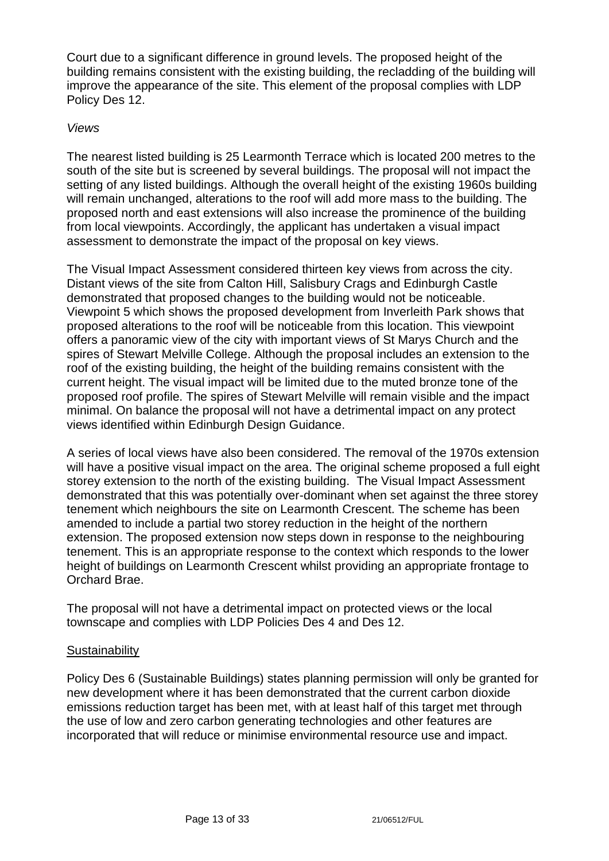Court due to a significant difference in ground levels. The proposed height of the building remains consistent with the existing building, the recladding of the building will improve the appearance of the site. This element of the proposal complies with LDP Policy Des 12.

#### *Views*

The nearest listed building is 25 Learmonth Terrace which is located 200 metres to the south of the site but is screened by several buildings. The proposal will not impact the setting of any listed buildings. Although the overall height of the existing 1960s building will remain unchanged, alterations to the roof will add more mass to the building. The proposed north and east extensions will also increase the prominence of the building from local viewpoints. Accordingly, the applicant has undertaken a visual impact assessment to demonstrate the impact of the proposal on key views.

The Visual Impact Assessment considered thirteen key views from across the city. Distant views of the site from Calton Hill, Salisbury Crags and Edinburgh Castle demonstrated that proposed changes to the building would not be noticeable. Viewpoint 5 which shows the proposed development from Inverleith Park shows that proposed alterations to the roof will be noticeable from this location. This viewpoint offers a panoramic view of the city with important views of St Marys Church and the spires of Stewart Melville College. Although the proposal includes an extension to the roof of the existing building, the height of the building remains consistent with the current height. The visual impact will be limited due to the muted bronze tone of the proposed roof profile. The spires of Stewart Melville will remain visible and the impact minimal. On balance the proposal will not have a detrimental impact on any protect views identified within Edinburgh Design Guidance.

A series of local views have also been considered. The removal of the 1970s extension will have a positive visual impact on the area. The original scheme proposed a full eight storey extension to the north of the existing building. The Visual Impact Assessment demonstrated that this was potentially over-dominant when set against the three storey tenement which neighbours the site on Learmonth Crescent. The scheme has been amended to include a partial two storey reduction in the height of the northern extension. The proposed extension now steps down in response to the neighbouring tenement. This is an appropriate response to the context which responds to the lower height of buildings on Learmonth Crescent whilst providing an appropriate frontage to Orchard Brae.

The proposal will not have a detrimental impact on protected views or the local townscape and complies with LDP Policies Des 4 and Des 12.

#### **Sustainability**

Policy Des 6 (Sustainable Buildings) states planning permission will only be granted for new development where it has been demonstrated that the current carbon dioxide emissions reduction target has been met, with at least half of this target met through the use of low and zero carbon generating technologies and other features are incorporated that will reduce or minimise environmental resource use and impact.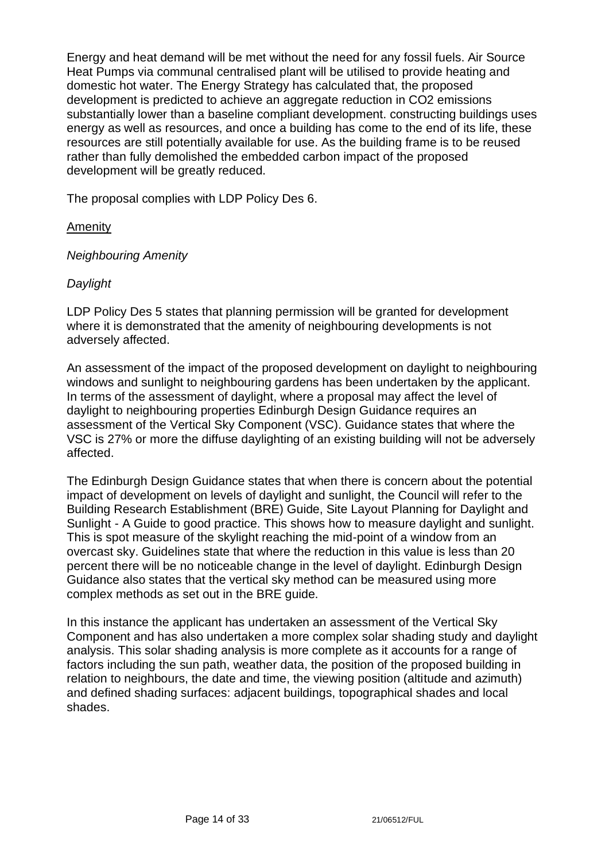Energy and heat demand will be met without the need for any fossil fuels. Air Source Heat Pumps via communal centralised plant will be utilised to provide heating and domestic hot water. The Energy Strategy has calculated that, the proposed development is predicted to achieve an aggregate reduction in CO2 emissions substantially lower than a baseline compliant development. constructing buildings uses energy as well as resources, and once a building has come to the end of its life, these resources are still potentially available for use. As the building frame is to be reused rather than fully demolished the embedded carbon impact of the proposed development will be greatly reduced.

The proposal complies with LDP Policy Des 6.

### **Amenity**

*Neighbouring Amenity*

### *Daylight*

LDP Policy Des 5 states that planning permission will be granted for development where it is demonstrated that the amenity of neighbouring developments is not adversely affected.

An assessment of the impact of the proposed development on daylight to neighbouring windows and sunlight to neighbouring gardens has been undertaken by the applicant. In terms of the assessment of daylight, where a proposal may affect the level of daylight to neighbouring properties Edinburgh Design Guidance requires an assessment of the Vertical Sky Component (VSC). Guidance states that where the VSC is 27% or more the diffuse daylighting of an existing building will not be adversely affected.

The Edinburgh Design Guidance states that when there is concern about the potential impact of development on levels of daylight and sunlight, the Council will refer to the Building Research Establishment (BRE) Guide, Site Layout Planning for Daylight and Sunlight - A Guide to good practice. This shows how to measure daylight and sunlight. This is spot measure of the skylight reaching the mid-point of a window from an overcast sky. Guidelines state that where the reduction in this value is less than 20 percent there will be no noticeable change in the level of daylight. Edinburgh Design Guidance also states that the vertical sky method can be measured using more complex methods as set out in the BRE guide.

In this instance the applicant has undertaken an assessment of the Vertical Sky Component and has also undertaken a more complex solar shading study and daylight analysis. This solar shading analysis is more complete as it accounts for a range of factors including the sun path, weather data, the position of the proposed building in relation to neighbours, the date and time, the viewing position (altitude and azimuth) and defined shading surfaces: adjacent buildings, topographical shades and local shades.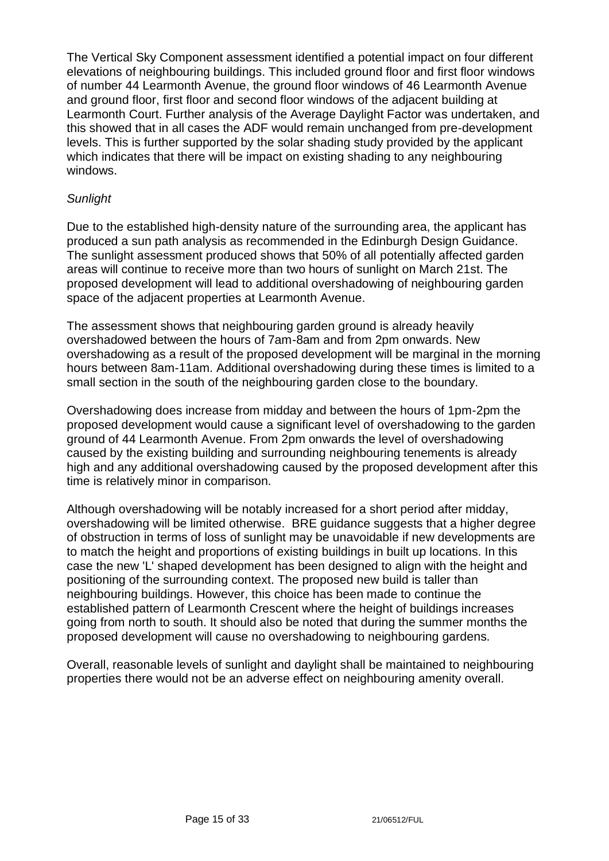The Vertical Sky Component assessment identified a potential impact on four different elevations of neighbouring buildings. This included ground floor and first floor windows of number 44 Learmonth Avenue, the ground floor windows of 46 Learmonth Avenue and ground floor, first floor and second floor windows of the adjacent building at Learmonth Court. Further analysis of the Average Daylight Factor was undertaken, and this showed that in all cases the ADF would remain unchanged from pre-development levels. This is further supported by the solar shading study provided by the applicant which indicates that there will be impact on existing shading to any neighbouring windows.

### *Sunlight*

Due to the established high-density nature of the surrounding area, the applicant has produced a sun path analysis as recommended in the Edinburgh Design Guidance. The sunlight assessment produced shows that 50% of all potentially affected garden areas will continue to receive more than two hours of sunlight on March 21st. The proposed development will lead to additional overshadowing of neighbouring garden space of the adjacent properties at Learmonth Avenue.

The assessment shows that neighbouring garden ground is already heavily overshadowed between the hours of 7am-8am and from 2pm onwards. New overshadowing as a result of the proposed development will be marginal in the morning hours between 8am-11am. Additional overshadowing during these times is limited to a small section in the south of the neighbouring garden close to the boundary.

Overshadowing does increase from midday and between the hours of 1pm-2pm the proposed development would cause a significant level of overshadowing to the garden ground of 44 Learmonth Avenue. From 2pm onwards the level of overshadowing caused by the existing building and surrounding neighbouring tenements is already high and any additional overshadowing caused by the proposed development after this time is relatively minor in comparison.

Although overshadowing will be notably increased for a short period after midday, overshadowing will be limited otherwise. BRE guidance suggests that a higher degree of obstruction in terms of loss of sunlight may be unavoidable if new developments are to match the height and proportions of existing buildings in built up locations. In this case the new 'L' shaped development has been designed to align with the height and positioning of the surrounding context. The proposed new build is taller than neighbouring buildings. However, this choice has been made to continue the established pattern of Learmonth Crescent where the height of buildings increases going from north to south. It should also be noted that during the summer months the proposed development will cause no overshadowing to neighbouring gardens.

Overall, reasonable levels of sunlight and daylight shall be maintained to neighbouring properties there would not be an adverse effect on neighbouring amenity overall.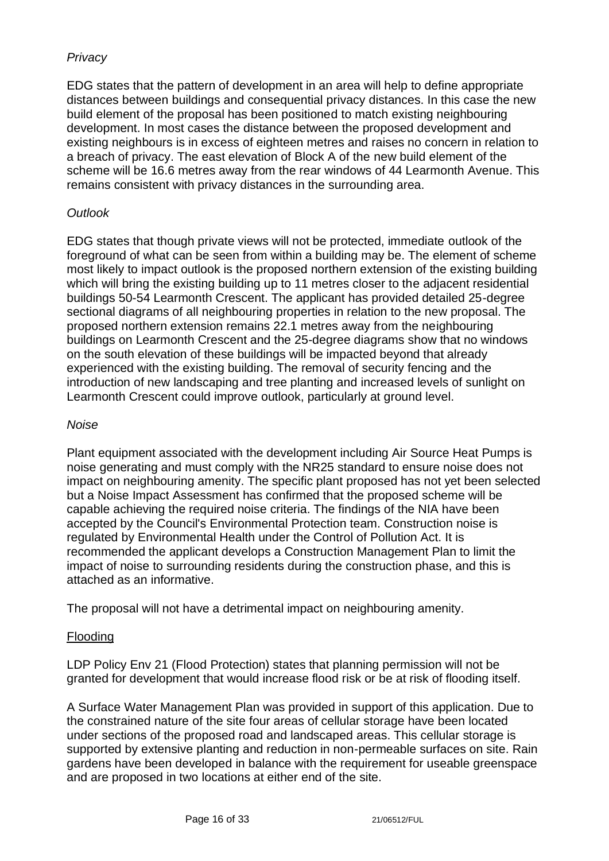# *Privacy*

EDG states that the pattern of development in an area will help to define appropriate distances between buildings and consequential privacy distances. In this case the new build element of the proposal has been positioned to match existing neighbouring development. In most cases the distance between the proposed development and existing neighbours is in excess of eighteen metres and raises no concern in relation to a breach of privacy. The east elevation of Block A of the new build element of the scheme will be 16.6 metres away from the rear windows of 44 Learmonth Avenue. This remains consistent with privacy distances in the surrounding area.

#### *Outlook*

EDG states that though private views will not be protected, immediate outlook of the foreground of what can be seen from within a building may be. The element of scheme most likely to impact outlook is the proposed northern extension of the existing building which will bring the existing building up to 11 metres closer to the adjacent residential buildings 50-54 Learmonth Crescent. The applicant has provided detailed 25-degree sectional diagrams of all neighbouring properties in relation to the new proposal. The proposed northern extension remains 22.1 metres away from the neighbouring buildings on Learmonth Crescent and the 25-degree diagrams show that no windows on the south elevation of these buildings will be impacted beyond that already experienced with the existing building. The removal of security fencing and the introduction of new landscaping and tree planting and increased levels of sunlight on Learmonth Crescent could improve outlook, particularly at ground level.

#### *Noise*

Plant equipment associated with the development including Air Source Heat Pumps is noise generating and must comply with the NR25 standard to ensure noise does not impact on neighbouring amenity. The specific plant proposed has not yet been selected but a Noise Impact Assessment has confirmed that the proposed scheme will be capable achieving the required noise criteria. The findings of the NIA have been accepted by the Council's Environmental Protection team. Construction noise is regulated by Environmental Health under the Control of Pollution Act. It is recommended the applicant develops a Construction Management Plan to limit the impact of noise to surrounding residents during the construction phase, and this is attached as an informative.

The proposal will not have a detrimental impact on neighbouring amenity.

#### Flooding

LDP Policy Env 21 (Flood Protection) states that planning permission will not be granted for development that would increase flood risk or be at risk of flooding itself.

A Surface Water Management Plan was provided in support of this application. Due to the constrained nature of the site four areas of cellular storage have been located under sections of the proposed road and landscaped areas. This cellular storage is supported by extensive planting and reduction in non-permeable surfaces on site. Rain gardens have been developed in balance with the requirement for useable greenspace and are proposed in two locations at either end of the site.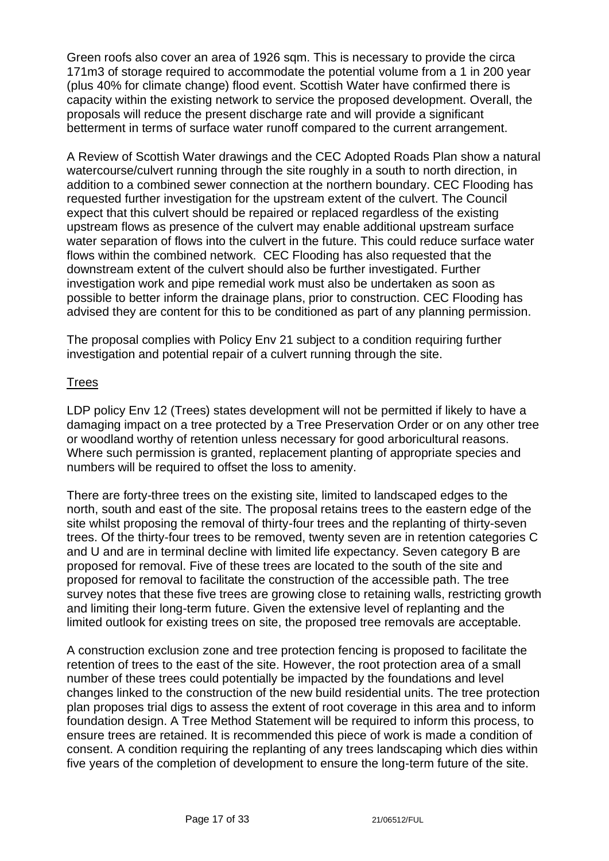Green roofs also cover an area of 1926 sqm. This is necessary to provide the circa 171m3 of storage required to accommodate the potential volume from a 1 in 200 year (plus 40% for climate change) flood event. Scottish Water have confirmed there is capacity within the existing network to service the proposed development. Overall, the proposals will reduce the present discharge rate and will provide a significant betterment in terms of surface water runoff compared to the current arrangement.

A Review of Scottish Water drawings and the CEC Adopted Roads Plan show a natural watercourse/culvert running through the site roughly in a south to north direction, in addition to a combined sewer connection at the northern boundary. CEC Flooding has requested further investigation for the upstream extent of the culvert. The Council expect that this culvert should be repaired or replaced regardless of the existing upstream flows as presence of the culvert may enable additional upstream surface water separation of flows into the culvert in the future. This could reduce surface water flows within the combined network. CEC Flooding has also requested that the downstream extent of the culvert should also be further investigated. Further investigation work and pipe remedial work must also be undertaken as soon as possible to better inform the drainage plans, prior to construction. CEC Flooding has advised they are content for this to be conditioned as part of any planning permission.

The proposal complies with Policy Env 21 subject to a condition requiring further investigation and potential repair of a culvert running through the site.

# **Trees**

LDP policy Env 12 (Trees) states development will not be permitted if likely to have a damaging impact on a tree protected by a Tree Preservation Order or on any other tree or woodland worthy of retention unless necessary for good arboricultural reasons. Where such permission is granted, replacement planting of appropriate species and numbers will be required to offset the loss to amenity.

There are forty-three trees on the existing site, limited to landscaped edges to the north, south and east of the site. The proposal retains trees to the eastern edge of the site whilst proposing the removal of thirty-four trees and the replanting of thirty-seven trees. Of the thirty-four trees to be removed, twenty seven are in retention categories C and U and are in terminal decline with limited life expectancy. Seven category B are proposed for removal. Five of these trees are located to the south of the site and proposed for removal to facilitate the construction of the accessible path. The tree survey notes that these five trees are growing close to retaining walls, restricting growth and limiting their long-term future. Given the extensive level of replanting and the limited outlook for existing trees on site, the proposed tree removals are acceptable.

A construction exclusion zone and tree protection fencing is proposed to facilitate the retention of trees to the east of the site. However, the root protection area of a small number of these trees could potentially be impacted by the foundations and level changes linked to the construction of the new build residential units. The tree protection plan proposes trial digs to assess the extent of root coverage in this area and to inform foundation design. A Tree Method Statement will be required to inform this process, to ensure trees are retained. It is recommended this piece of work is made a condition of consent. A condition requiring the replanting of any trees landscaping which dies within five years of the completion of development to ensure the long-term future of the site.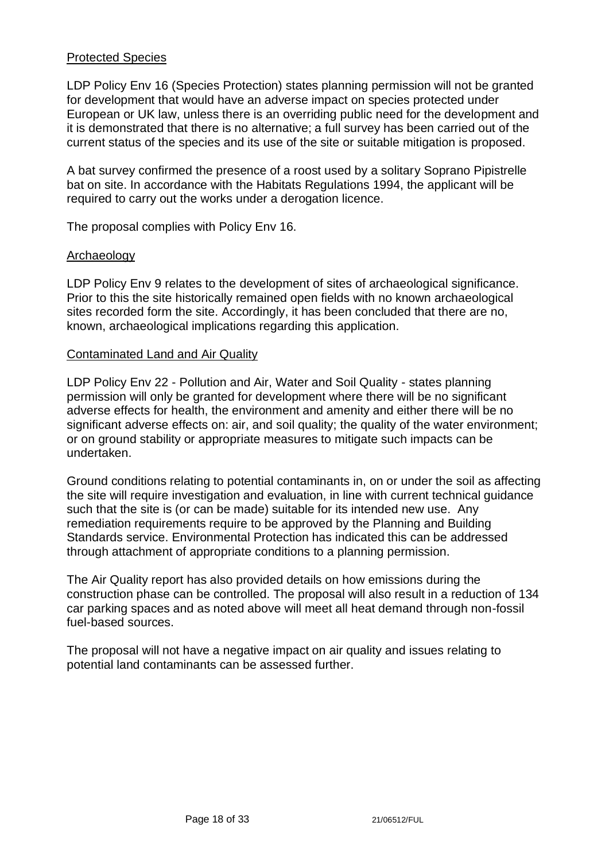### Protected Species

LDP Policy Env 16 (Species Protection) states planning permission will not be granted for development that would have an adverse impact on species protected under European or UK law, unless there is an overriding public need for the development and it is demonstrated that there is no alternative; a full survey has been carried out of the current status of the species and its use of the site or suitable mitigation is proposed.

A bat survey confirmed the presence of a roost used by a solitary Soprano Pipistrelle bat on site. In accordance with the Habitats Regulations 1994, the applicant will be required to carry out the works under a derogation licence.

The proposal complies with Policy Env 16.

#### Archaeology

LDP Policy Env 9 relates to the development of sites of archaeological significance. Prior to this the site historically remained open fields with no known archaeological sites recorded form the site. Accordingly, it has been concluded that there are no, known, archaeological implications regarding this application.

#### Contaminated Land and Air Quality

LDP Policy Env 22 - Pollution and Air, Water and Soil Quality - states planning permission will only be granted for development where there will be no significant adverse effects for health, the environment and amenity and either there will be no significant adverse effects on: air, and soil quality; the quality of the water environment; or on ground stability or appropriate measures to mitigate such impacts can be undertaken.

Ground conditions relating to potential contaminants in, on or under the soil as affecting the site will require investigation and evaluation, in line with current technical guidance such that the site is (or can be made) suitable for its intended new use. Any remediation requirements require to be approved by the Planning and Building Standards service. Environmental Protection has indicated this can be addressed through attachment of appropriate conditions to a planning permission.

The Air Quality report has also provided details on how emissions during the construction phase can be controlled. The proposal will also result in a reduction of 134 car parking spaces and as noted above will meet all heat demand through non-fossil fuel-based sources.

The proposal will not have a negative impact on air quality and issues relating to potential land contaminants can be assessed further.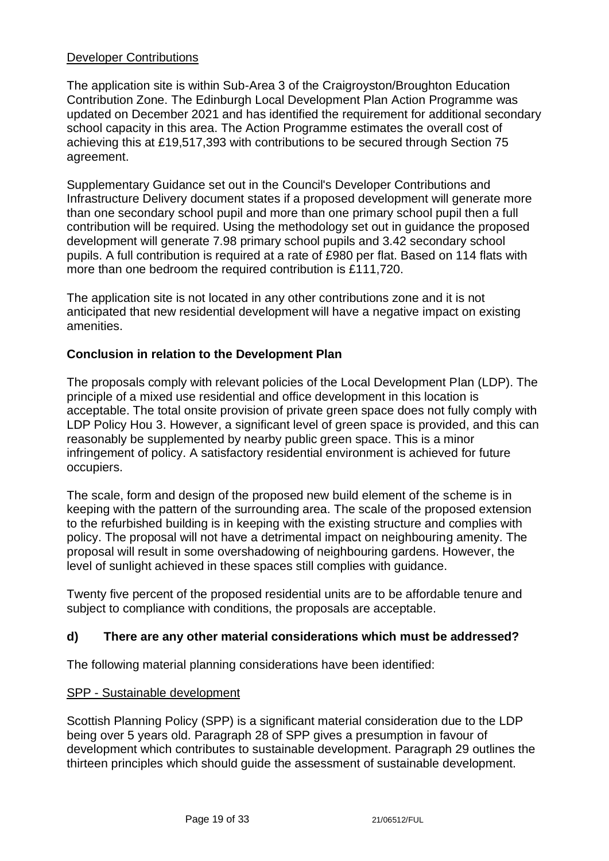#### Developer Contributions

The application site is within Sub-Area 3 of the Craigroyston/Broughton Education Contribution Zone. The Edinburgh Local Development Plan Action Programme was updated on December 2021 and has identified the requirement for additional secondary school capacity in this area. The Action Programme estimates the overall cost of achieving this at £19,517,393 with contributions to be secured through Section 75 agreement.

Supplementary Guidance set out in the Council's Developer Contributions and Infrastructure Delivery document states if a proposed development will generate more than one secondary school pupil and more than one primary school pupil then a full contribution will be required. Using the methodology set out in guidance the proposed development will generate 7.98 primary school pupils and 3.42 secondary school pupils. A full contribution is required at a rate of £980 per flat. Based on 114 flats with more than one bedroom the required contribution is £111,720.

The application site is not located in any other contributions zone and it is not anticipated that new residential development will have a negative impact on existing amenities.

# **Conclusion in relation to the Development Plan**

The proposals comply with relevant policies of the Local Development Plan (LDP). The principle of a mixed use residential and office development in this location is acceptable. The total onsite provision of private green space does not fully comply with LDP Policy Hou 3. However, a significant level of green space is provided, and this can reasonably be supplemented by nearby public green space. This is a minor infringement of policy. A satisfactory residential environment is achieved for future occupiers.

The scale, form and design of the proposed new build element of the scheme is in keeping with the pattern of the surrounding area. The scale of the proposed extension to the refurbished building is in keeping with the existing structure and complies with policy. The proposal will not have a detrimental impact on neighbouring amenity. The proposal will result in some overshadowing of neighbouring gardens. However, the level of sunlight achieved in these spaces still complies with guidance.

Twenty five percent of the proposed residential units are to be affordable tenure and subject to compliance with conditions, the proposals are acceptable.

# **d) There are any other material considerations which must be addressed?**

The following material planning considerations have been identified:

#### SPP - Sustainable development

Scottish Planning Policy (SPP) is a significant material consideration due to the LDP being over 5 years old. Paragraph 28 of SPP gives a presumption in favour of development which contributes to sustainable development. Paragraph 29 outlines the thirteen principles which should guide the assessment of sustainable development.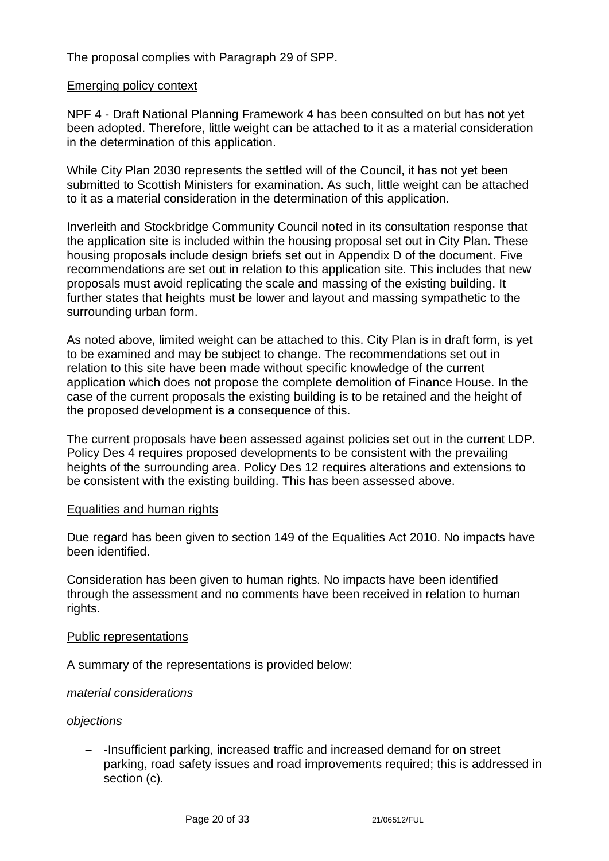The proposal complies with Paragraph 29 of SPP.

#### Emerging policy context

NPF 4 - Draft National Planning Framework 4 has been consulted on but has not yet been adopted. Therefore, little weight can be attached to it as a material consideration in the determination of this application.

While City Plan 2030 represents the settled will of the Council, it has not yet been submitted to Scottish Ministers for examination. As such, little weight can be attached to it as a material consideration in the determination of this application.

Inverleith and Stockbridge Community Council noted in its consultation response that the application site is included within the housing proposal set out in City Plan. These housing proposals include design briefs set out in Appendix D of the document. Five recommendations are set out in relation to this application site. This includes that new proposals must avoid replicating the scale and massing of the existing building. It further states that heights must be lower and layout and massing sympathetic to the surrounding urban form.

As noted above, limited weight can be attached to this. City Plan is in draft form, is yet to be examined and may be subject to change. The recommendations set out in relation to this site have been made without specific knowledge of the current application which does not propose the complete demolition of Finance House. In the case of the current proposals the existing building is to be retained and the height of the proposed development is a consequence of this.

The current proposals have been assessed against policies set out in the current LDP. Policy Des 4 requires proposed developments to be consistent with the prevailing heights of the surrounding area. Policy Des 12 requires alterations and extensions to be consistent with the existing building. This has been assessed above.

#### Equalities and human rights

Due regard has been given to section 149 of the Equalities Act 2010. No impacts have been identified.

Consideration has been given to human rights. No impacts have been identified through the assessment and no comments have been received in relation to human rights.

#### Public representations

A summary of the representations is provided below:

#### *material considerations*

#### *objections*

− -Insufficient parking, increased traffic and increased demand for on street parking, road safety issues and road improvements required; this is addressed in section (c).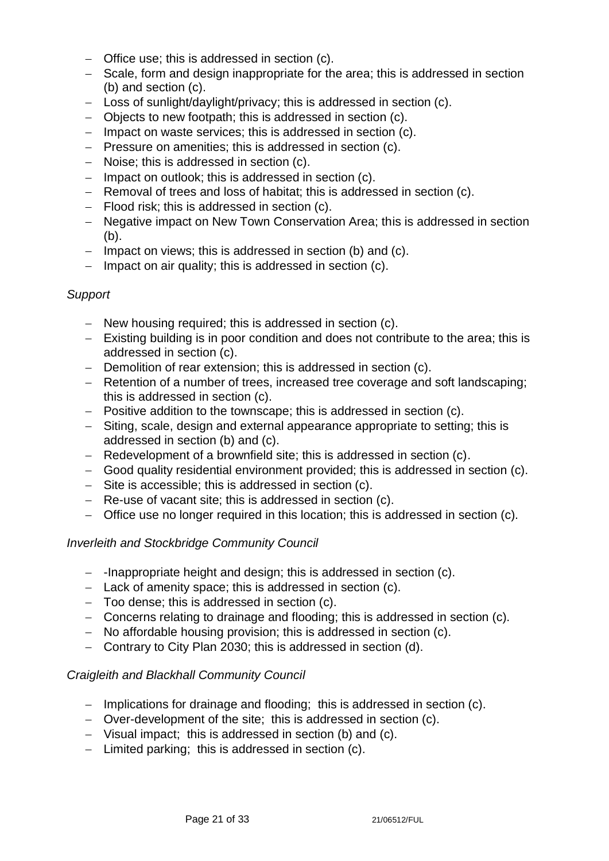- − Office use; this is addressed in section (c).
- − Scale, form and design inappropriate for the area; this is addressed in section (b) and section (c).
- − Loss of sunlight/daylight/privacy; this is addressed in section (c).
- − Objects to new footpath; this is addressed in section (c).
- − Impact on waste services; this is addressed in section (c).
- − Pressure on amenities; this is addressed in section (c).
- − Noise; this is addressed in section (c).
- − Impact on outlook; this is addressed in section (c).
- − Removal of trees and loss of habitat; this is addressed in section (c).
- − Flood risk; this is addressed in section (c).
- − Negative impact on New Town Conservation Area; this is addressed in section (b).
- − Impact on views; this is addressed in section (b) and (c).
- − Impact on air quality; this is addressed in section (c).

#### *Support*

- − New housing required; this is addressed in section (c).
- − Existing building is in poor condition and does not contribute to the area; this is addressed in section (c).
- − Demolition of rear extension; this is addressed in section (c).
- − Retention of a number of trees, increased tree coverage and soft landscaping; this is addressed in section (c).
- − Positive addition to the townscape; this is addressed in section (c).
- − Siting, scale, design and external appearance appropriate to setting; this is addressed in section (b) and (c).
- − Redevelopment of a brownfield site; this is addressed in section (c).
- − Good quality residential environment provided; this is addressed in section (c).
- − Site is accessible; this is addressed in section (c).
- − Re-use of vacant site; this is addressed in section (c).
- − Office use no longer required in this location; this is addressed in section (c).

#### *Inverleith and Stockbridge Community Council*

- − -Inappropriate height and design; this is addressed in section (c).
- − Lack of amenity space; this is addressed in section (c).
- − Too dense; this is addressed in section (c).
- − Concerns relating to drainage and flooding; this is addressed in section (c).
- − No affordable housing provision; this is addressed in section (c).
- − Contrary to City Plan 2030; this is addressed in section (d).

#### *Craigleith and Blackhall Community Council*

- − Implications for drainage and flooding; this is addressed in section (c).
- − Over-development of the site; this is addressed in section (c).
- − Visual impact; this is addressed in section (b) and (c).
- − Limited parking; this is addressed in section (c).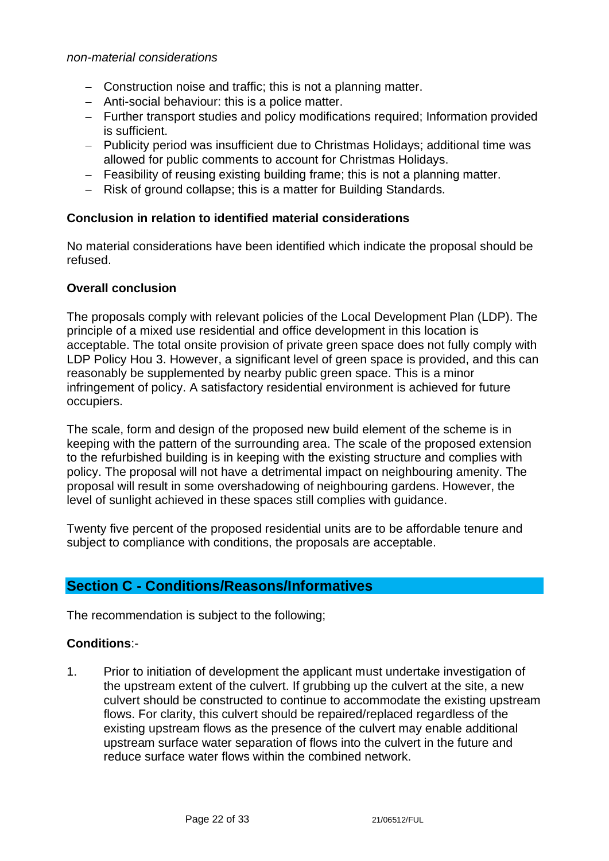- − Construction noise and traffic; this is not a planning matter.
- − Anti-social behaviour: this is a police matter.
- − Further transport studies and policy modifications required; Information provided is sufficient.
- − Publicity period was insufficient due to Christmas Holidays; additional time was allowed for public comments to account for Christmas Holidays.
- − Feasibility of reusing existing building frame; this is not a planning matter.
- − Risk of ground collapse; this is a matter for Building Standards.

#### **Conclusion in relation to identified material considerations**

No material considerations have been identified which indicate the proposal should be refused.

#### **Overall conclusion**

The proposals comply with relevant policies of the Local Development Plan (LDP). The principle of a mixed use residential and office development in this location is acceptable. The total onsite provision of private green space does not fully comply with LDP Policy Hou 3. However, a significant level of green space is provided, and this can reasonably be supplemented by nearby public green space. This is a minor infringement of policy. A satisfactory residential environment is achieved for future occupiers.

The scale, form and design of the proposed new build element of the scheme is in keeping with the pattern of the surrounding area. The scale of the proposed extension to the refurbished building is in keeping with the existing structure and complies with policy. The proposal will not have a detrimental impact on neighbouring amenity. The proposal will result in some overshadowing of neighbouring gardens. However, the level of sunlight achieved in these spaces still complies with guidance.

Twenty five percent of the proposed residential units are to be affordable tenure and subject to compliance with conditions, the proposals are acceptable.

# **Section C - Conditions/Reasons/Informatives**

The recommendation is subject to the following;

#### **Conditions**:-

1. Prior to initiation of development the applicant must undertake investigation of the upstream extent of the culvert. If grubbing up the culvert at the site, a new culvert should be constructed to continue to accommodate the existing upstream flows. For clarity, this culvert should be repaired/replaced regardless of the existing upstream flows as the presence of the culvert may enable additional upstream surface water separation of flows into the culvert in the future and reduce surface water flows within the combined network.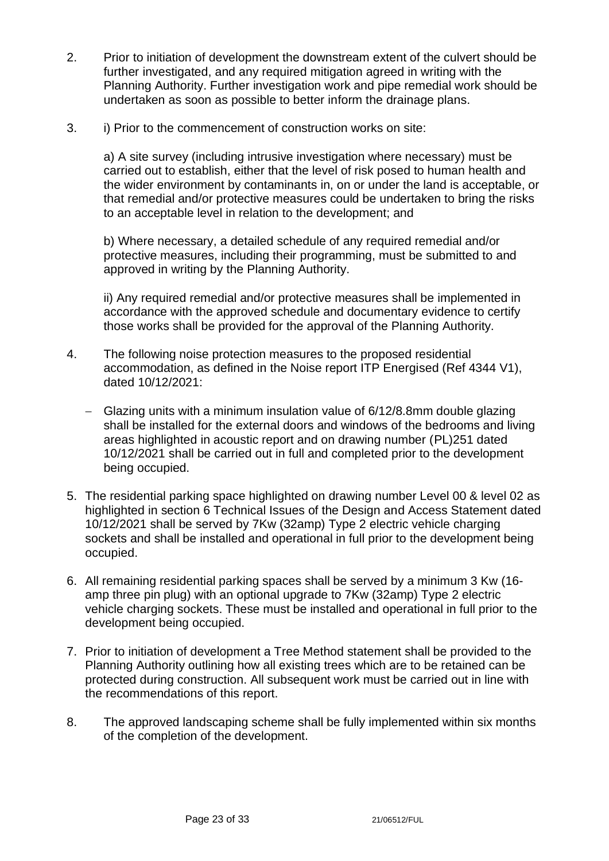- 2. Prior to initiation of development the downstream extent of the culvert should be further investigated, and any required mitigation agreed in writing with the Planning Authority. Further investigation work and pipe remedial work should be undertaken as soon as possible to better inform the drainage plans.
- 3. i) Prior to the commencement of construction works on site:

a) A site survey (including intrusive investigation where necessary) must be carried out to establish, either that the level of risk posed to human health and the wider environment by contaminants in, on or under the land is acceptable, or that remedial and/or protective measures could be undertaken to bring the risks to an acceptable level in relation to the development; and

b) Where necessary, a detailed schedule of any required remedial and/or protective measures, including their programming, must be submitted to and approved in writing by the Planning Authority.

ii) Any required remedial and/or protective measures shall be implemented in accordance with the approved schedule and documentary evidence to certify those works shall be provided for the approval of the Planning Authority.

- 4. The following noise protection measures to the proposed residential accommodation, as defined in the Noise report ITP Energised (Ref 4344 V1), dated 10/12/2021:
	- − Glazing units with a minimum insulation value of 6/12/8.8mm double glazing shall be installed for the external doors and windows of the bedrooms and living areas highlighted in acoustic report and on drawing number (PL)251 dated 10/12/2021 shall be carried out in full and completed prior to the development being occupied.
- 5. The residential parking space highlighted on drawing number Level 00 & level 02 as highlighted in section 6 Technical Issues of the Design and Access Statement dated 10/12/2021 shall be served by 7Kw (32amp) Type 2 electric vehicle charging sockets and shall be installed and operational in full prior to the development being occupied.
- 6. All remaining residential parking spaces shall be served by a minimum 3 Kw (16 amp three pin plug) with an optional upgrade to 7Kw (32amp) Type 2 electric vehicle charging sockets. These must be installed and operational in full prior to the development being occupied.
- 7. Prior to initiation of development a Tree Method statement shall be provided to the Planning Authority outlining how all existing trees which are to be retained can be protected during construction. All subsequent work must be carried out in line with the recommendations of this report.
- 8. The approved landscaping scheme shall be fully implemented within six months of the completion of the development.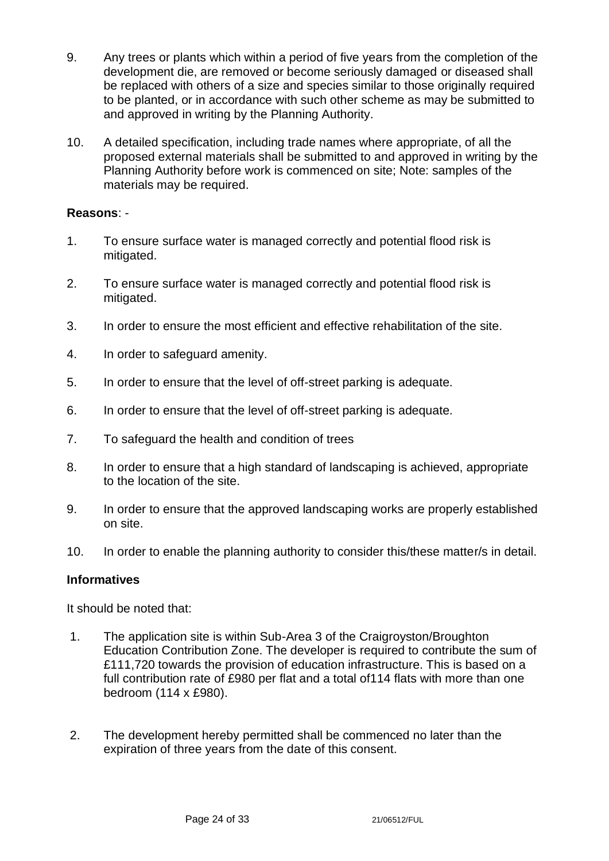- 9. Any trees or plants which within a period of five years from the completion of the development die, are removed or become seriously damaged or diseased shall be replaced with others of a size and species similar to those originally required to be planted, or in accordance with such other scheme as may be submitted to and approved in writing by the Planning Authority.
- 10. A detailed specification, including trade names where appropriate, of all the proposed external materials shall be submitted to and approved in writing by the Planning Authority before work is commenced on site; Note: samples of the materials may be required.

#### **Reasons**: -

- 1. To ensure surface water is managed correctly and potential flood risk is mitigated.
- 2. To ensure surface water is managed correctly and potential flood risk is mitigated.
- 3. In order to ensure the most efficient and effective rehabilitation of the site.
- 4. In order to safeguard amenity.
- 5. In order to ensure that the level of off-street parking is adequate.
- 6. In order to ensure that the level of off-street parking is adequate.
- 7. To safeguard the health and condition of trees
- 8. In order to ensure that a high standard of landscaping is achieved, appropriate to the location of the site.
- 9. In order to ensure that the approved landscaping works are properly established on site.
- 10. In order to enable the planning authority to consider this/these matter/s in detail.

#### **Informatives**

It should be noted that:

- 1. The application site is within Sub-Area 3 of the Craigroyston/Broughton Education Contribution Zone. The developer is required to contribute the sum of £111,720 towards the provision of education infrastructure. This is based on a full contribution rate of £980 per flat and a total of114 flats with more than one bedroom (114 x £980).
- 2. The development hereby permitted shall be commenced no later than the expiration of three years from the date of this consent.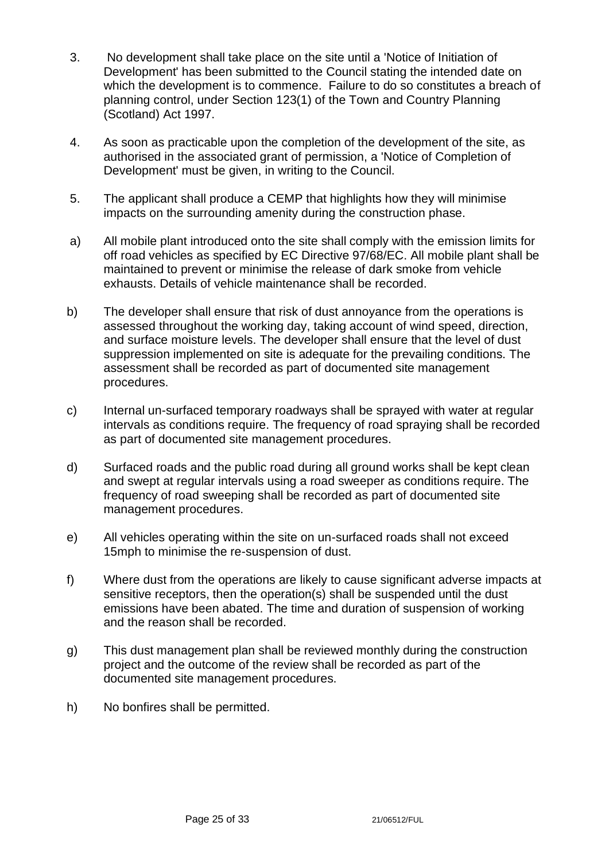- 3. No development shall take place on the site until a 'Notice of Initiation of Development' has been submitted to the Council stating the intended date on which the development is to commence. Failure to do so constitutes a breach of planning control, under Section 123(1) of the Town and Country Planning (Scotland) Act 1997.
- 4. As soon as practicable upon the completion of the development of the site, as authorised in the associated grant of permission, a 'Notice of Completion of Development' must be given, in writing to the Council.
- 5. The applicant shall produce a CEMP that highlights how they will minimise impacts on the surrounding amenity during the construction phase.
- a) All mobile plant introduced onto the site shall comply with the emission limits for off road vehicles as specified by EC Directive 97/68/EC. All mobile plant shall be maintained to prevent or minimise the release of dark smoke from vehicle exhausts. Details of vehicle maintenance shall be recorded.
- b) The developer shall ensure that risk of dust annoyance from the operations is assessed throughout the working day, taking account of wind speed, direction, and surface moisture levels. The developer shall ensure that the level of dust suppression implemented on site is adequate for the prevailing conditions. The assessment shall be recorded as part of documented site management procedures.
- c) Internal un-surfaced temporary roadways shall be sprayed with water at regular intervals as conditions require. The frequency of road spraying shall be recorded as part of documented site management procedures.
- d) Surfaced roads and the public road during all ground works shall be kept clean and swept at regular intervals using a road sweeper as conditions require. The frequency of road sweeping shall be recorded as part of documented site management procedures.
- e) All vehicles operating within the site on un-surfaced roads shall not exceed 15mph to minimise the re-suspension of dust.
- f) Where dust from the operations are likely to cause significant adverse impacts at sensitive receptors, then the operation(s) shall be suspended until the dust emissions have been abated. The time and duration of suspension of working and the reason shall be recorded.
- g) This dust management plan shall be reviewed monthly during the construction project and the outcome of the review shall be recorded as part of the documented site management procedures.
- h) No bonfires shall be permitted.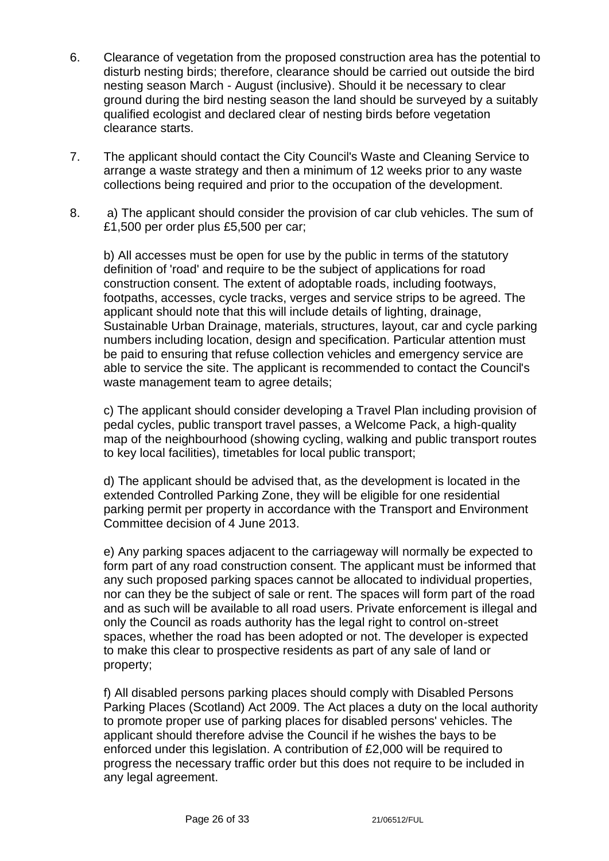- 6. Clearance of vegetation from the proposed construction area has the potential to disturb nesting birds; therefore, clearance should be carried out outside the bird nesting season March - August (inclusive). Should it be necessary to clear ground during the bird nesting season the land should be surveyed by a suitably qualified ecologist and declared clear of nesting birds before vegetation clearance starts.
- 7. The applicant should contact the City Council's Waste and Cleaning Service to arrange a waste strategy and then a minimum of 12 weeks prior to any waste collections being required and prior to the occupation of the development.
- 8. a) The applicant should consider the provision of car club vehicles. The sum of £1,500 per order plus £5,500 per car;

b) All accesses must be open for use by the public in terms of the statutory definition of 'road' and require to be the subject of applications for road construction consent. The extent of adoptable roads, including footways, footpaths, accesses, cycle tracks, verges and service strips to be agreed. The applicant should note that this will include details of lighting, drainage, Sustainable Urban Drainage, materials, structures, layout, car and cycle parking numbers including location, design and specification. Particular attention must be paid to ensuring that refuse collection vehicles and emergency service are able to service the site. The applicant is recommended to contact the Council's waste management team to agree details;

c) The applicant should consider developing a Travel Plan including provision of pedal cycles, public transport travel passes, a Welcome Pack, a high-quality map of the neighbourhood (showing cycling, walking and public transport routes to key local facilities), timetables for local public transport;

d) The applicant should be advised that, as the development is located in the extended Controlled Parking Zone, they will be eligible for one residential parking permit per property in accordance with the Transport and Environment Committee decision of 4 June 2013.

e) Any parking spaces adjacent to the carriageway will normally be expected to form part of any road construction consent. The applicant must be informed that any such proposed parking spaces cannot be allocated to individual properties, nor can they be the subject of sale or rent. The spaces will form part of the road and as such will be available to all road users. Private enforcement is illegal and only the Council as roads authority has the legal right to control on-street spaces, whether the road has been adopted or not. The developer is expected to make this clear to prospective residents as part of any sale of land or property;

f) All disabled persons parking places should comply with Disabled Persons Parking Places (Scotland) Act 2009. The Act places a duty on the local authority to promote proper use of parking places for disabled persons' vehicles. The applicant should therefore advise the Council if he wishes the bays to be enforced under this legislation. A contribution of £2,000 will be required to progress the necessary traffic order but this does not require to be included in any legal agreement.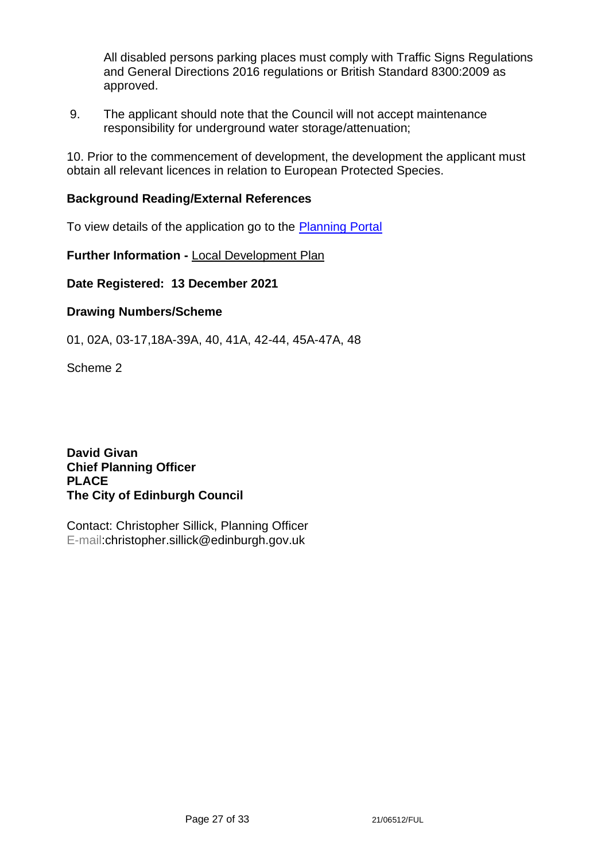All disabled persons parking places must comply with Traffic Signs Regulations and General Directions 2016 regulations or British Standard 8300:2009 as approved.

9. The applicant should note that the Council will not accept maintenance responsibility for underground water storage/attenuation;

10. Prior to the commencement of development, the development the applicant must obtain all relevant licences in relation to European Protected Species.

#### **Background Reading/External References**

To view details of the application go to the [Planning Portal](https://citydev-portal.edinburgh.gov.uk/idoxpa-web/applicationDetails.do?activeTab=summary&keyVal=R41P5BEWI1900)

**Further Information -** [Local Development Plan](https://www.edinburgh.gov.uk/local-development-plan-guidance-1/edinburgh-local-development-plan/1)

**Date Registered: 13 December 2021**

### **Drawing Numbers/Scheme**

01, 02A, 03-17,18A-39A, 40, 41A, 42-44, 45A-47A, 48

Scheme 2

**David Givan Chief Planning Officer PLACE The City of Edinburgh Council**

Contact: Christopher Sillick, Planning Officer E-mail:christopher.sillick@edinburgh.gov.uk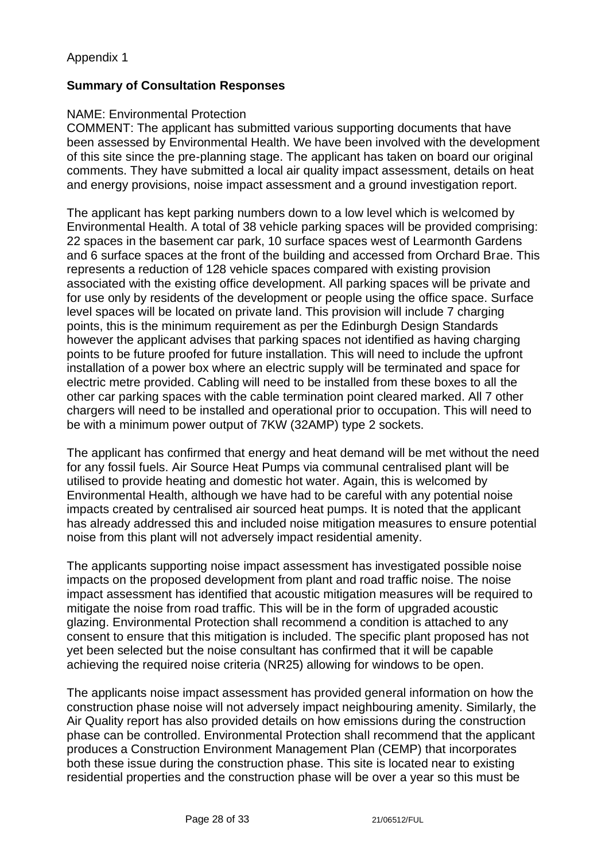### **Summary of Consultation Responses**

#### NAME: Environmental Protection

COMMENT: The applicant has submitted various supporting documents that have been assessed by Environmental Health. We have been involved with the development of this site since the pre-planning stage. The applicant has taken on board our original comments. They have submitted a local air quality impact assessment, details on heat and energy provisions, noise impact assessment and a ground investigation report.

The applicant has kept parking numbers down to a low level which is welcomed by Environmental Health. A total of 38 vehicle parking spaces will be provided comprising: 22 spaces in the basement car park, 10 surface spaces west of Learmonth Gardens and 6 surface spaces at the front of the building and accessed from Orchard Brae. This represents a reduction of 128 vehicle spaces compared with existing provision associated with the existing office development. All parking spaces will be private and for use only by residents of the development or people using the office space. Surface level spaces will be located on private land. This provision will include 7 charging points, this is the minimum requirement as per the Edinburgh Design Standards however the applicant advises that parking spaces not identified as having charging points to be future proofed for future installation. This will need to include the upfront installation of a power box where an electric supply will be terminated and space for electric metre provided. Cabling will need to be installed from these boxes to all the other car parking spaces with the cable termination point cleared marked. All 7 other chargers will need to be installed and operational prior to occupation. This will need to be with a minimum power output of 7KW (32AMP) type 2 sockets.

The applicant has confirmed that energy and heat demand will be met without the need for any fossil fuels. Air Source Heat Pumps via communal centralised plant will be utilised to provide heating and domestic hot water. Again, this is welcomed by Environmental Health, although we have had to be careful with any potential noise impacts created by centralised air sourced heat pumps. It is noted that the applicant has already addressed this and included noise mitigation measures to ensure potential noise from this plant will not adversely impact residential amenity.

The applicants supporting noise impact assessment has investigated possible noise impacts on the proposed development from plant and road traffic noise. The noise impact assessment has identified that acoustic mitigation measures will be required to mitigate the noise from road traffic. This will be in the form of upgraded acoustic glazing. Environmental Protection shall recommend a condition is attached to any consent to ensure that this mitigation is included. The specific plant proposed has not yet been selected but the noise consultant has confirmed that it will be capable achieving the required noise criteria (NR25) allowing for windows to be open.

The applicants noise impact assessment has provided general information on how the construction phase noise will not adversely impact neighbouring amenity. Similarly, the Air Quality report has also provided details on how emissions during the construction phase can be controlled. Environmental Protection shall recommend that the applicant produces a Construction Environment Management Plan (CEMP) that incorporates both these issue during the construction phase. This site is located near to existing residential properties and the construction phase will be over a year so this must be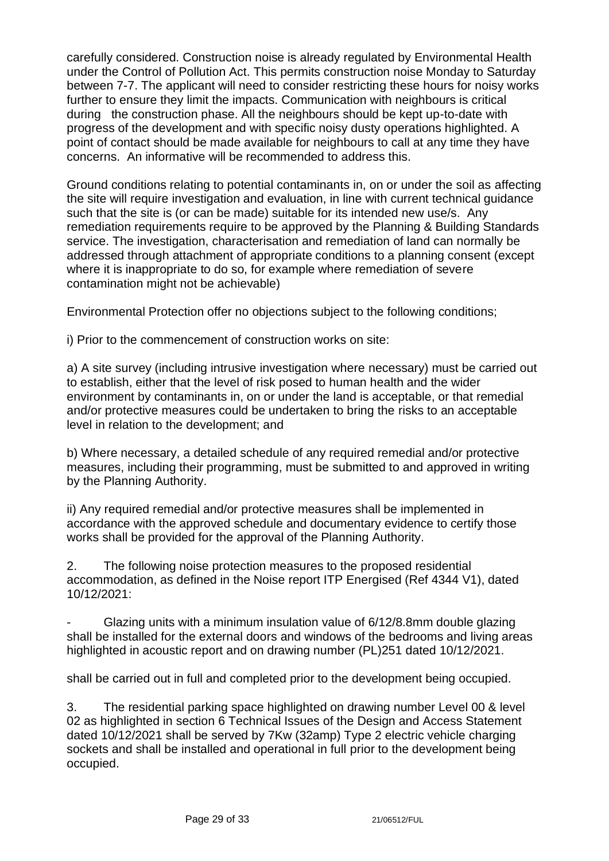carefully considered. Construction noise is already regulated by Environmental Health under the Control of Pollution Act. This permits construction noise Monday to Saturday between 7-7. The applicant will need to consider restricting these hours for noisy works further to ensure they limit the impacts. Communication with neighbours is critical during the construction phase. All the neighbours should be kept up-to-date with progress of the development and with specific noisy dusty operations highlighted. A point of contact should be made available for neighbours to call at any time they have concerns. An informative will be recommended to address this.

Ground conditions relating to potential contaminants in, on or under the soil as affecting the site will require investigation and evaluation, in line with current technical guidance such that the site is (or can be made) suitable for its intended new use/s. Any remediation requirements require to be approved by the Planning & Building Standards service. The investigation, characterisation and remediation of land can normally be addressed through attachment of appropriate conditions to a planning consent (except where it is inappropriate to do so, for example where remediation of severe contamination might not be achievable)

Environmental Protection offer no objections subject to the following conditions;

i) Prior to the commencement of construction works on site:

a) A site survey (including intrusive investigation where necessary) must be carried out to establish, either that the level of risk posed to human health and the wider environment by contaminants in, on or under the land is acceptable, or that remedial and/or protective measures could be undertaken to bring the risks to an acceptable level in relation to the development; and

b) Where necessary, a detailed schedule of any required remedial and/or protective measures, including their programming, must be submitted to and approved in writing by the Planning Authority.

ii) Any required remedial and/or protective measures shall be implemented in accordance with the approved schedule and documentary evidence to certify those works shall be provided for the approval of the Planning Authority.

2. The following noise protection measures to the proposed residential accommodation, as defined in the Noise report ITP Energised (Ref 4344 V1), dated 10/12/2021:

Glazing units with a minimum insulation value of 6/12/8.8mm double glazing shall be installed for the external doors and windows of the bedrooms and living areas highlighted in acoustic report and on drawing number (PL)251 dated 10/12/2021.

shall be carried out in full and completed prior to the development being occupied.

3. The residential parking space highlighted on drawing number Level 00 & level 02 as highlighted in section 6 Technical Issues of the Design and Access Statement dated 10/12/2021 shall be served by 7Kw (32amp) Type 2 electric vehicle charging sockets and shall be installed and operational in full prior to the development being occupied.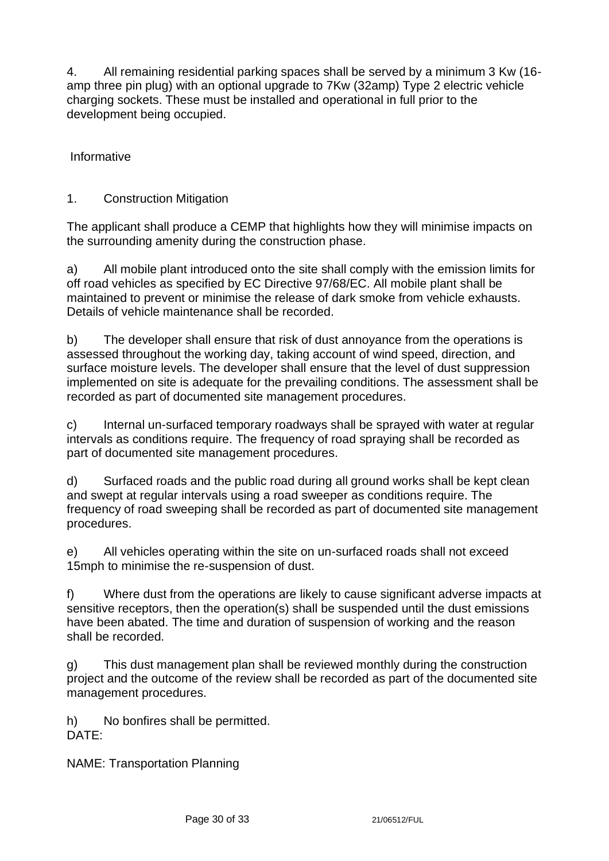4. All remaining residential parking spaces shall be served by a minimum 3 Kw (16 amp three pin plug) with an optional upgrade to 7Kw (32amp) Type 2 electric vehicle charging sockets. These must be installed and operational in full prior to the development being occupied.

Informative

1. Construction Mitigation

The applicant shall produce a CEMP that highlights how they will minimise impacts on the surrounding amenity during the construction phase.

a) All mobile plant introduced onto the site shall comply with the emission limits for off road vehicles as specified by EC Directive 97/68/EC. All mobile plant shall be maintained to prevent or minimise the release of dark smoke from vehicle exhausts. Details of vehicle maintenance shall be recorded.

b) The developer shall ensure that risk of dust annoyance from the operations is assessed throughout the working day, taking account of wind speed, direction, and surface moisture levels. The developer shall ensure that the level of dust suppression implemented on site is adequate for the prevailing conditions. The assessment shall be recorded as part of documented site management procedures.

c) Internal un-surfaced temporary roadways shall be sprayed with water at regular intervals as conditions require. The frequency of road spraying shall be recorded as part of documented site management procedures.

d) Surfaced roads and the public road during all ground works shall be kept clean and swept at regular intervals using a road sweeper as conditions require. The frequency of road sweeping shall be recorded as part of documented site management procedures.

e) All vehicles operating within the site on un-surfaced roads shall not exceed 15mph to minimise the re-suspension of dust.

f) Where dust from the operations are likely to cause significant adverse impacts at sensitive receptors, then the operation(s) shall be suspended until the dust emissions have been abated. The time and duration of suspension of working and the reason shall be recorded.

g) This dust management plan shall be reviewed monthly during the construction project and the outcome of the review shall be recorded as part of the documented site management procedures.

h) No bonfires shall be permitted. DATE:

NAME: Transportation Planning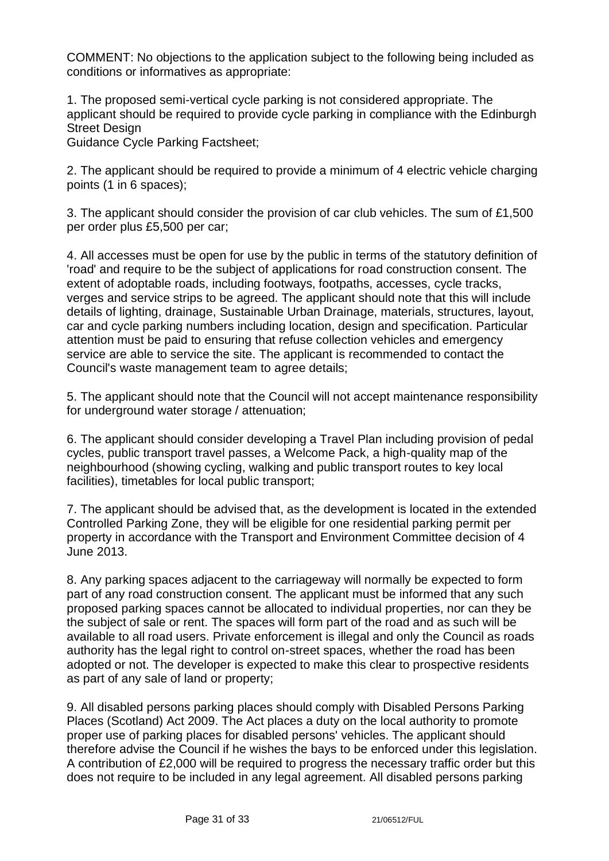COMMENT: No objections to the application subject to the following being included as conditions or informatives as appropriate:

1. The proposed semi-vertical cycle parking is not considered appropriate. The applicant should be required to provide cycle parking in compliance with the Edinburgh Street Design

Guidance Cycle Parking Factsheet;

2. The applicant should be required to provide a minimum of 4 electric vehicle charging points (1 in 6 spaces);

3. The applicant should consider the provision of car club vehicles. The sum of £1,500 per order plus £5,500 per car;

4. All accesses must be open for use by the public in terms of the statutory definition of 'road' and require to be the subject of applications for road construction consent. The extent of adoptable roads, including footways, footpaths, accesses, cycle tracks, verges and service strips to be agreed. The applicant should note that this will include details of lighting, drainage, Sustainable Urban Drainage, materials, structures, layout, car and cycle parking numbers including location, design and specification. Particular attention must be paid to ensuring that refuse collection vehicles and emergency service are able to service the site. The applicant is recommended to contact the Council's waste management team to agree details;

5. The applicant should note that the Council will not accept maintenance responsibility for underground water storage / attenuation;

6. The applicant should consider developing a Travel Plan including provision of pedal cycles, public transport travel passes, a Welcome Pack, a high-quality map of the neighbourhood (showing cycling, walking and public transport routes to key local facilities), timetables for local public transport;

7. The applicant should be advised that, as the development is located in the extended Controlled Parking Zone, they will be eligible for one residential parking permit per property in accordance with the Transport and Environment Committee decision of 4 June 2013.

8. Any parking spaces adjacent to the carriageway will normally be expected to form part of any road construction consent. The applicant must be informed that any such proposed parking spaces cannot be allocated to individual properties, nor can they be the subject of sale or rent. The spaces will form part of the road and as such will be available to all road users. Private enforcement is illegal and only the Council as roads authority has the legal right to control on-street spaces, whether the road has been adopted or not. The developer is expected to make this clear to prospective residents as part of any sale of land or property;

9. All disabled persons parking places should comply with Disabled Persons Parking Places (Scotland) Act 2009. The Act places a duty on the local authority to promote proper use of parking places for disabled persons' vehicles. The applicant should therefore advise the Council if he wishes the bays to be enforced under this legislation. A contribution of £2,000 will be required to progress the necessary traffic order but this does not require to be included in any legal agreement. All disabled persons parking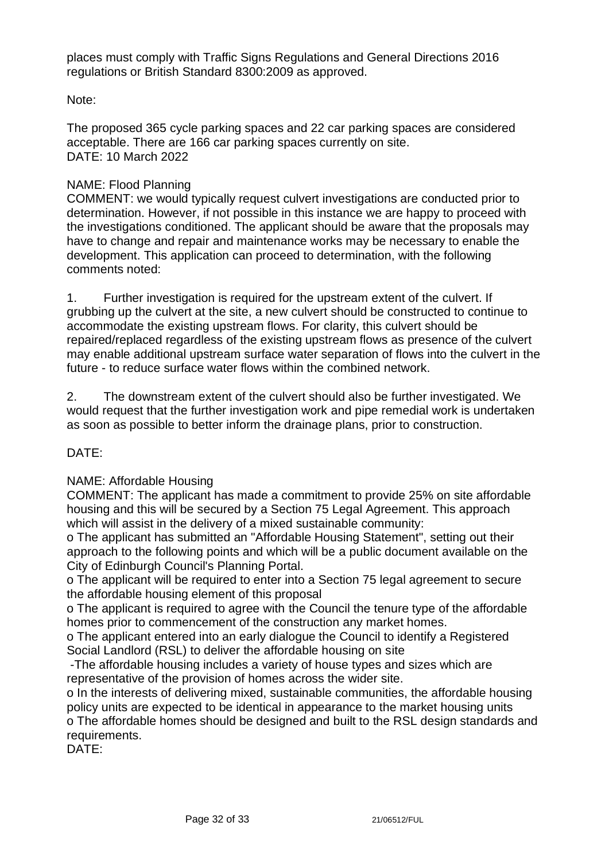places must comply with Traffic Signs Regulations and General Directions 2016 regulations or British Standard 8300:2009 as approved.

### Note:

The proposed 365 cycle parking spaces and 22 car parking spaces are considered acceptable. There are 166 car parking spaces currently on site. DATE: 10 March 2022

#### NAME: Flood Planning

COMMENT: we would typically request culvert investigations are conducted prior to determination. However, if not possible in this instance we are happy to proceed with the investigations conditioned. The applicant should be aware that the proposals may have to change and repair and maintenance works may be necessary to enable the development. This application can proceed to determination, with the following comments noted:

1. Further investigation is required for the upstream extent of the culvert. If grubbing up the culvert at the site, a new culvert should be constructed to continue to accommodate the existing upstream flows. For clarity, this culvert should be repaired/replaced regardless of the existing upstream flows as presence of the culvert may enable additional upstream surface water separation of flows into the culvert in the future - to reduce surface water flows within the combined network.

2. The downstream extent of the culvert should also be further investigated. We would request that the further investigation work and pipe remedial work is undertaken as soon as possible to better inform the drainage plans, prior to construction.

# DATE:

#### NAME: Affordable Housing

COMMENT: The applicant has made a commitment to provide 25% on site affordable housing and this will be secured by a Section 75 Legal Agreement. This approach which will assist in the delivery of a mixed sustainable community:

o The applicant has submitted an "Affordable Housing Statement", setting out their approach to the following points and which will be a public document available on the City of Edinburgh Council's Planning Portal.

o The applicant will be required to enter into a Section 75 legal agreement to secure the affordable housing element of this proposal

o The applicant is required to agree with the Council the tenure type of the affordable homes prior to commencement of the construction any market homes.

o The applicant entered into an early dialogue the Council to identify a Registered Social Landlord (RSL) to deliver the affordable housing on site

-The affordable housing includes a variety of house types and sizes which are representative of the provision of homes across the wider site.

o In the interests of delivering mixed, sustainable communities, the affordable housing policy units are expected to be identical in appearance to the market housing units o The affordable homes should be designed and built to the RSL design standards and requirements.

DATE: